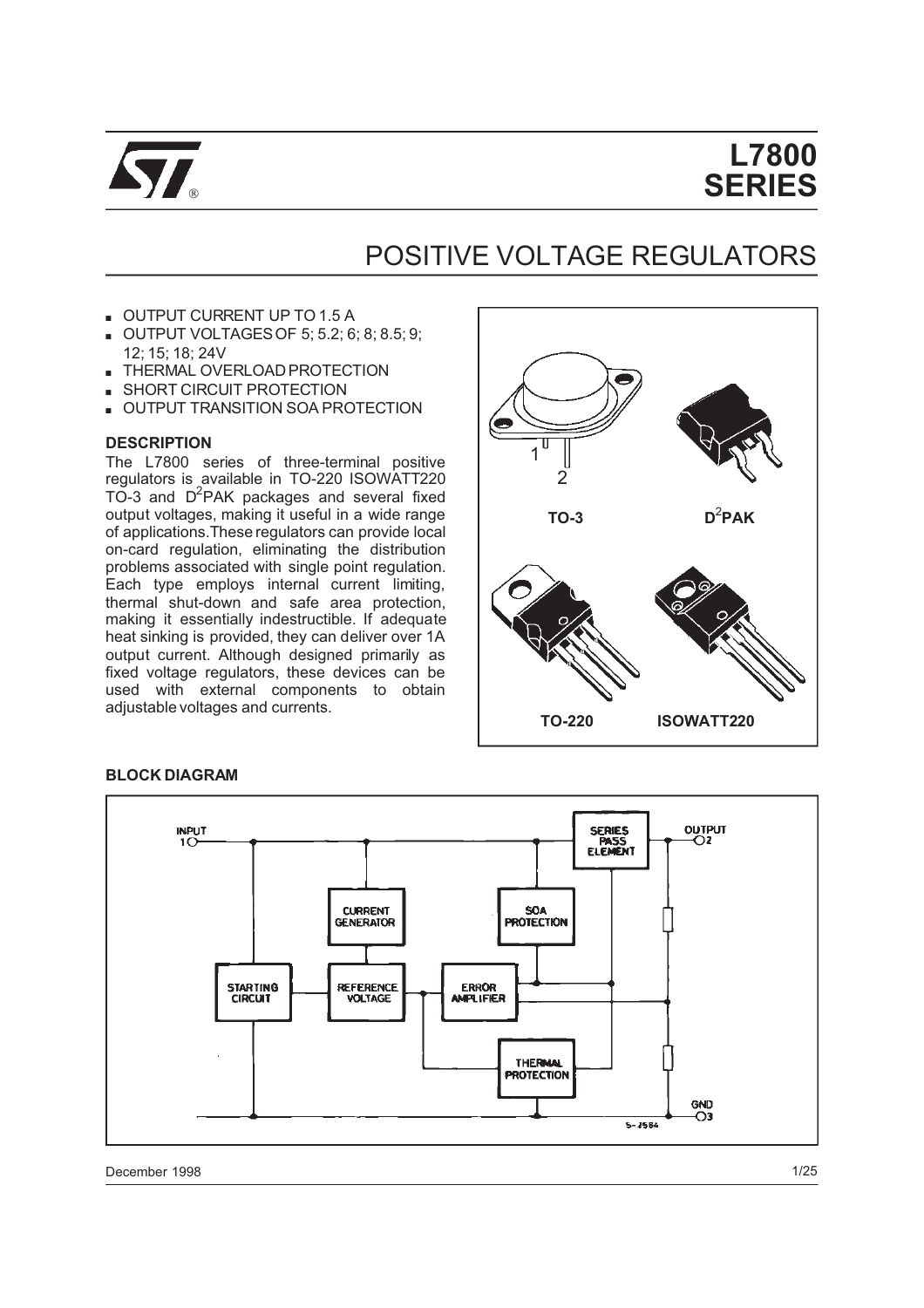

# **L7800 SERIES**

# POSITIVE VOLTAGE REGULATORS

- OUTPUT CURRENT UP TO 1.5 A
- OUTPUT VOLTAGESOF 5; 5.2; 6; 8; 8.5; 9; 12; 15; 18; 24V
- **THERMAL OVERLOAD PROTECTION**
- SHORT CIRCUIT PROTECTION
- **UTPUT TRANSITION SOA PROTECTION**

#### **DESCRIPTION**

The L7800 series of three-terminal positive regulators is available in TO-220 ISOWATT220 TO-3 and D<sup>2</sup>PAK packages and several fixed output voltages, making it useful in a wide range of applications.These regulators can provide local on-card regulation, eliminating the distribution problems associated with single point regulation. Each type employs internal current limiting, thermal shut-down and safe area protection, making it essentially indestructible. If adequate heat sinking is provided, they can deliver over 1A output current. Although designed primarily as fixed voltage regulators, these devices can be used with external components to obtain adjustable voltages and currents.







December 1998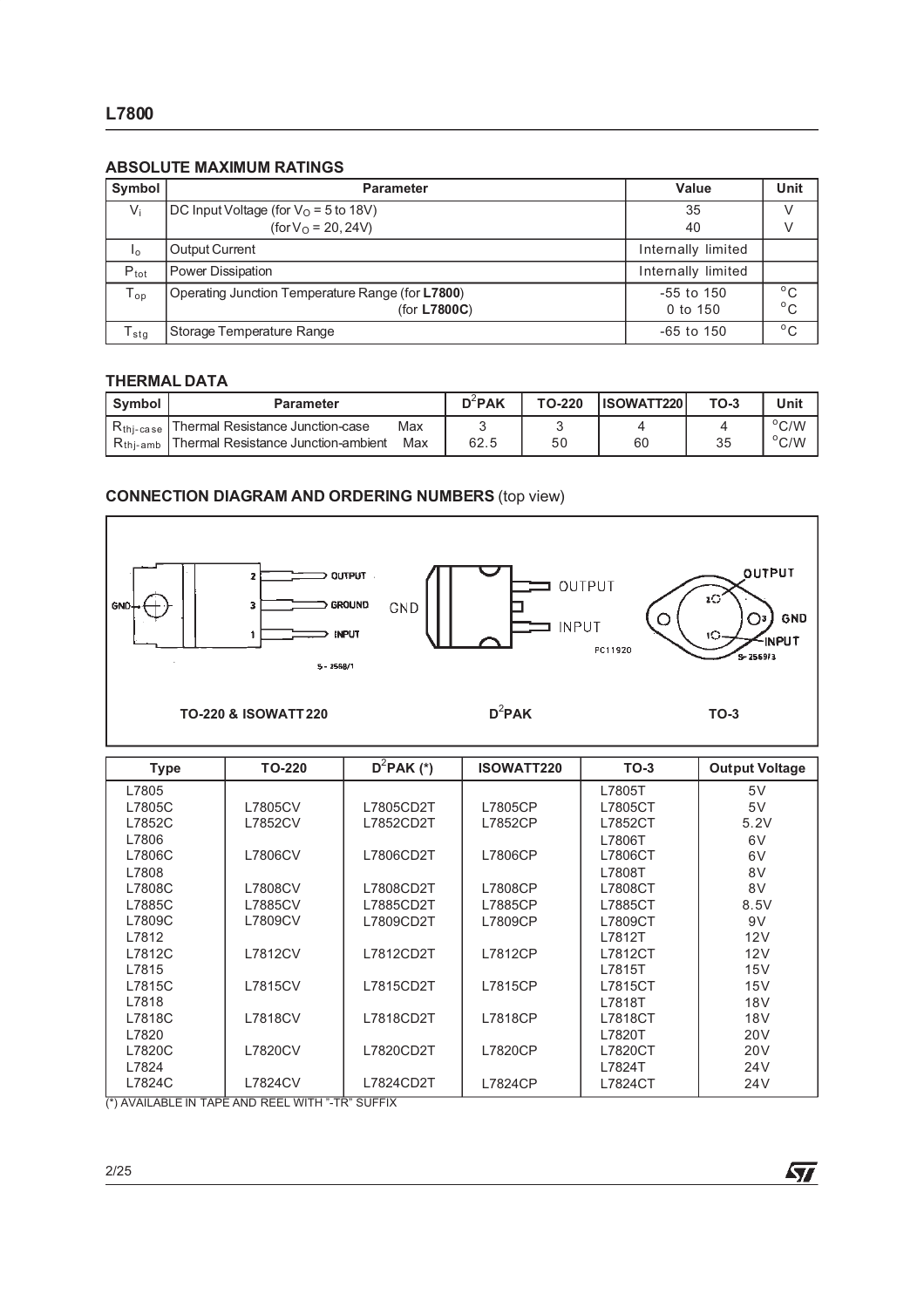#### **ABSOLUTE MAXIMUM RATINGS**

| Symbol                      | <b>Parameter</b>                                 | Value              | Unit         |
|-----------------------------|--------------------------------------------------|--------------------|--------------|
| $V_i$                       | DC Input Voltage (for $VO = 5$ to 18V)           | 35                 |              |
|                             | $(for VO = 20, 24V)$                             | 40                 |              |
| I <sub>o</sub>              | <b>Output Current</b>                            | Internally limited |              |
| $P_{\text{tot}}$            | Power Dissipation                                | Internally limited |              |
| $T_{op}$                    | Operating Junction Temperature Range (for L7800) | -55 to 150         | $^{\circ}$ C |
|                             | (for L7800C)                                     | 0 to 150           | $^{\circ}$ C |
| $\mathsf{T}_{\textsf{stg}}$ | Storage Temperature Range                        | -65 to 150         | $^{\circ}$ C |

#### **THERMAL DATA**

| <b>Symbol</b>         | <b>Parameter</b>                    |     | $D^2$ PAK | TO-220 | <b>IISOWATT220</b> I | TO-3 | Unit           |
|-----------------------|-------------------------------------|-----|-----------|--------|----------------------|------|----------------|
| K <sub>thi-case</sub> | I Thermal Resistance Junction-case  | Max |           |        |                      |      | $\rm ^{o}C/W$  |
| $R_{\text{thi-amb}}$  | Thermal Resistance Junction-ambient | Max | 62.5      | 50     | 60                   | 35   | $^{\circ}$ C/W |

# **CONNECTION DIAGRAM AND ORDERING NUMBERS** (top view)



| <b>Type</b>                                                  | <b>TO-220</b>  | $D^2$ PAK (*) | <b>ISOWATT220</b> | $TO-3$  | <b>Output Voltage</b> |
|--------------------------------------------------------------|----------------|---------------|-------------------|---------|-----------------------|
| L7805                                                        |                |               |                   | L7805T  | 5V                    |
| L7805C                                                       | L7805CV        | L7805CD2T     | L7805CP           | L7805CT | 5V                    |
| L7852C                                                       | L7852CV        | L7852CD2T     | L7852CP           | L7852CT | 5.2V                  |
| L7806                                                        |                |               |                   | L7806T  | 6V                    |
| L7806C                                                       | L7806CV        | L7806CD2T     | L7806CP           | L7806CT | 6V                    |
| L7808                                                        |                |               |                   | L7808T  | 8V                    |
| L7808C                                                       | <b>L7808CV</b> | L7808CD2T     | L7808CP           | L7808CT | 8V                    |
| L7885C                                                       | L7885CV        | L7885CD2T     | L7885CP           | L7885CT | 8.5V                  |
| L7809C                                                       | L7809CV        | L7809CD2T     | L7809CP           | L7809CT | 9V                    |
| L7812                                                        |                |               |                   | L7812T  | 12V                   |
| L7812C                                                       | L7812CV        | L7812CD2T     | L7812CP           | L7812CT | 12V                   |
| L7815                                                        |                |               |                   | L7815T  | 15V                   |
| L7815C                                                       | L7815CV        | L7815CD2T     | L7815CP           | L7815CT | 15V                   |
| L7818                                                        |                |               |                   | L7818T  | <b>18V</b>            |
| L7818C                                                       | <b>L7818CV</b> | L7818CD2T     | L7818CP           | L7818CT | <b>18V</b>            |
| L7820                                                        |                |               |                   | L7820T  | <b>20V</b>            |
| L7820C                                                       | L7820CV        | L7820CD2T     | L7820CP           | L7820CT | <b>20V</b>            |
| L7824                                                        |                |               |                   | L7824T  | 24 <sub>V</sub>       |
| L7824C<br>$(*)$ AVAILADI E IN TADE AND DEEL WITH "TD" CHEEIV | <b>L7824CV</b> | L7824CD2T     | L7824CP           | L7824CT | 24 <sub>V</sub>       |

 $\sqrt{2}$ 

(\*) AVAILABLE IN TAPE AND REEL WITH "-TR" SUFFIX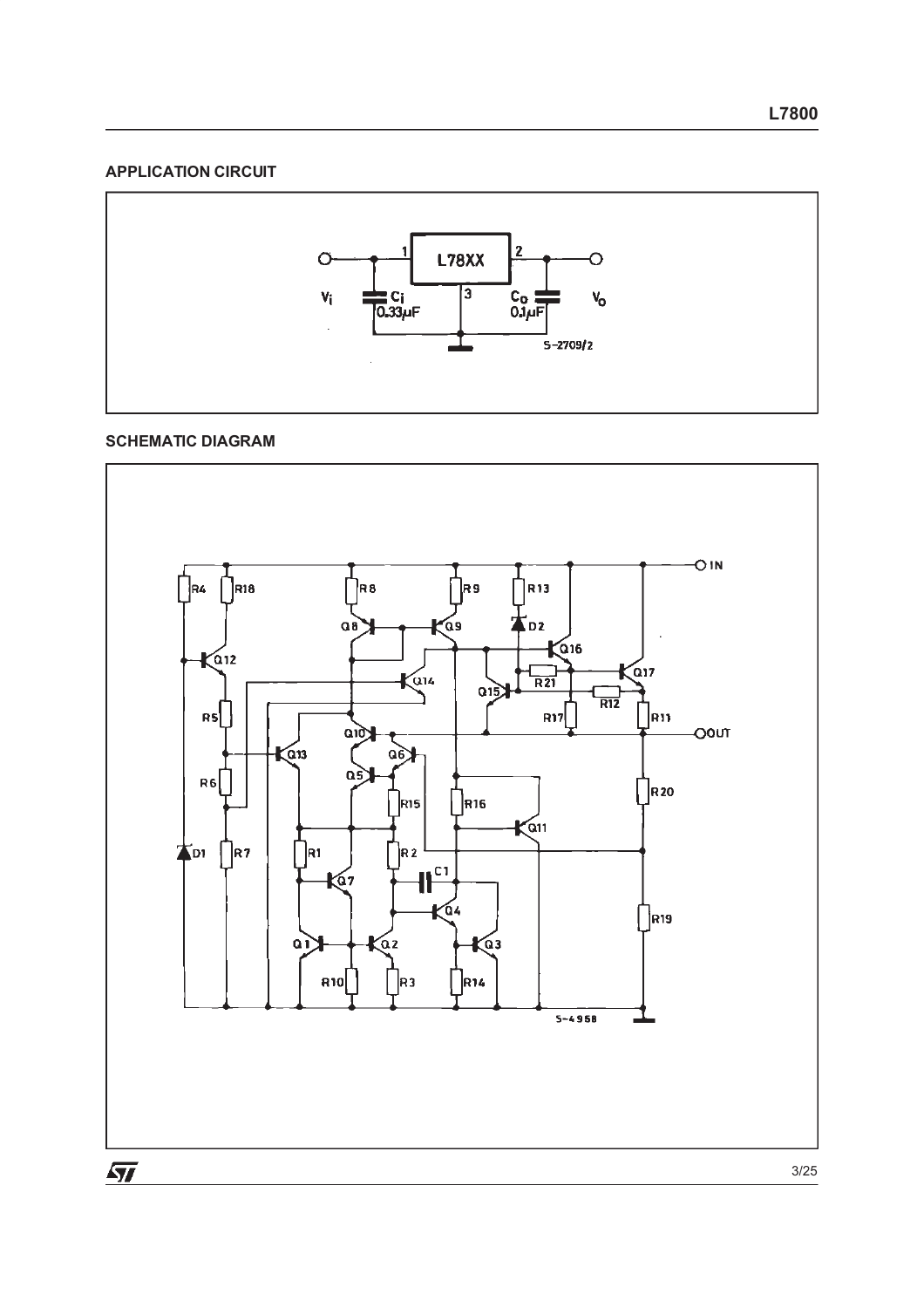#### **APPLICATION CIRCUIT**



# **SCHEMATIC DIAGRAM**

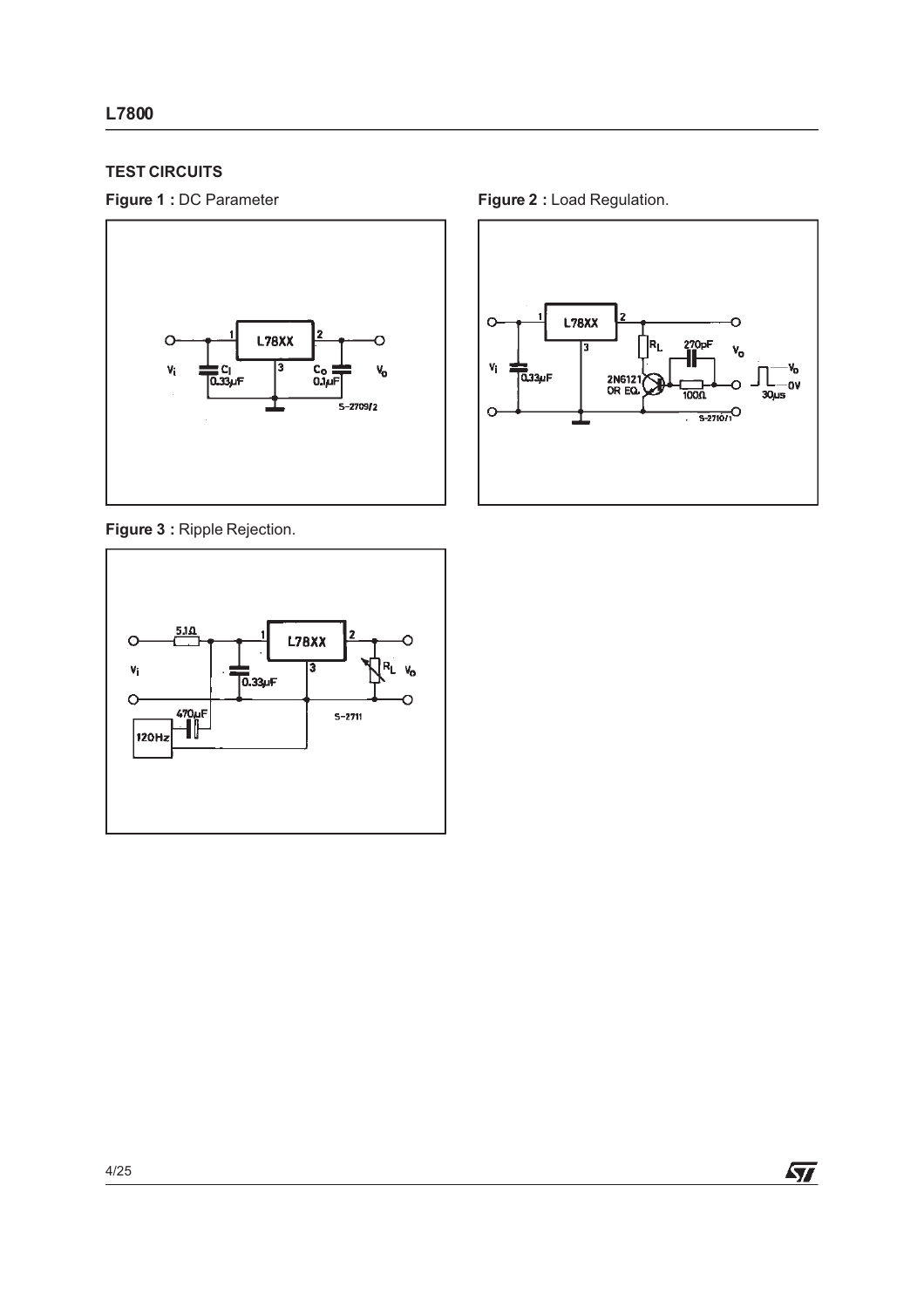# **TEST CIRCUITS**



**Figure 3 :** Ripple Rejection.



**Figure 1 : DC Parameter <b>Figure 2** : Load Regulation.

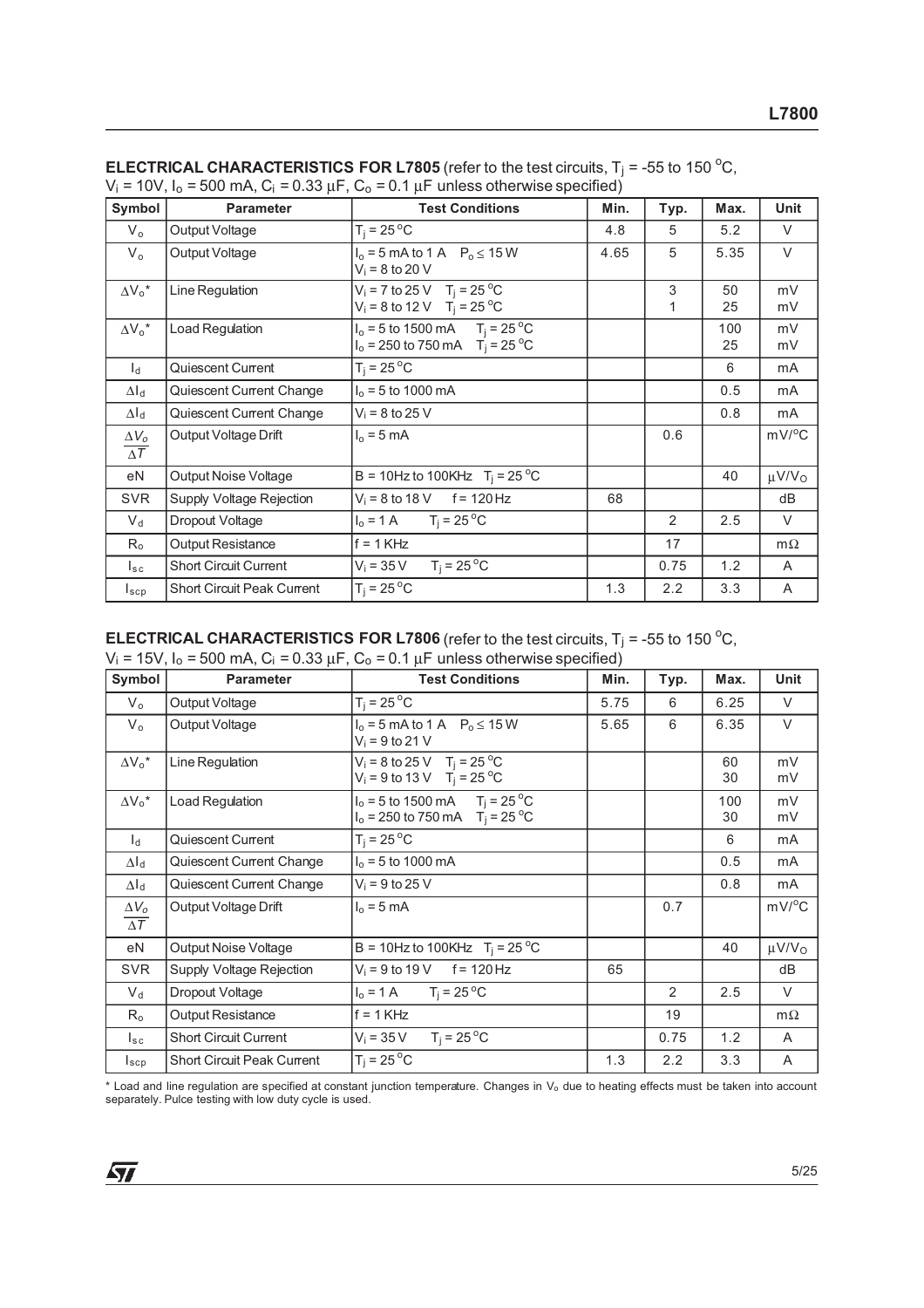| Symbol                     | <b>Parameter</b>                  | <b>Test Conditions</b>                                                               | Min. | Typ.           | Max.      | Unit                   |
|----------------------------|-----------------------------------|--------------------------------------------------------------------------------------|------|----------------|-----------|------------------------|
| $V_{\alpha}$               | Output Voltage                    | $T_i = 25^{\circ}C$                                                                  | 4.8  | 5              | 5.2       | $\vee$                 |
| $V_{o}$                    | Output Voltage                    | $I_0 = 5$ mA to 1 A $P_0 \le 15$ W<br>$V_i = 8$ to 20 V                              | 4.65 | 5              | 5.35      | $\vee$                 |
| $\Delta V_0^*$             | Line Regulation                   | $V_i = 7$ to 25 V T <sub>i</sub> = 25 °C<br>$V_i = 8$ to 12 V T <sub>i</sub> = 25 °C |      | 3<br>1         | 50<br>25  | mV<br>mV               |
| $\Delta V_0^*$             | Load Regulation                   | $I_0 = 5$ to 1500 mA $T_i = 25$ °C<br>$I_0 = 250$ to 750 mA $T_i = 25$ °C            |      |                | 100<br>25 | mV<br>mV               |
| $\mathsf{I}_{\mathsf{d}}$  | Quiescent Current                 | $T_i = 25^{\circ}$ C                                                                 |      |                | 6         | mA                     |
| $\Delta I_d$               | Quiescent Current Change          | $I_0 = 5$ to 1000 mA                                                                 |      |                | 0.5       | mA                     |
| $\Delta I_d$               | Quiescent Current Change          | $V_i = 8$ to 25 V                                                                    |      |                | 0.8       | mA                     |
| $\Delta V_o$<br>$\Delta T$ | Output Voltage Drift              | $I_0 = 5$ mA                                                                         |      | 0.6            |           | $mV$ <sup>o</sup> C    |
| eN                         | Output Noise Voltage              | B = 10Hz to 100KHz $T_i = 25^{\circ}C$                                               |      |                | 40        | $\mu$ V/V <sub>o</sub> |
| <b>SVR</b>                 | Supply Voltage Rejection          | $V_i = 8$ to 18 V f = 120 Hz                                                         | 68   |                |           | dB                     |
| $V_d$                      | Dropout Voltage                   | $I_0 = 1 \text{ A}$ $T_i = 25 \text{ }^{\circ}\text{C}$                              |      | $\mathfrak{D}$ | 2.5       | $\vee$                 |
| $R_{o}$                    | <b>Output Resistance</b>          | $f = 1$ KHz                                                                          |      | 17             |           | $m\Omega$              |
| $I_{\rm sc}$               | <b>Short Circuit Current</b>      | $T_i = 25^{\circ}C$<br>$V_i = 35 V$                                                  |      | 0.75           | 1.2       | A                      |
| $I_{\texttt{SCP}}$         | <b>Short Circuit Peak Current</b> | $T_i = 25^{\circ}C$                                                                  | 1.3  | 2.2            | 3.3       | A                      |

| <b>ELECTRICAL CHARACTERISTICS FOR L7805</b> (refer to the test circuits, $T_i$ = -55 to 150 °C,    |  |
|----------------------------------------------------------------------------------------------------|--|
| $V_1$ = 10V, $I_0$ = 500 mA, $C_1$ = 0.33 $\mu$ F, $C_0$ = 0.1 $\mu$ F unless otherwise specified) |  |

# **ELECTRICAL CHARACTERISTICS FOR L7806** (refer to the test circuits,  $T_j = -55$  to 150 °C,

 $V_i = 15V$ ,  $I_0 = 500$  mA,  $C_i = 0.33$   $\mu$ F,  $C_0 = 0.1$   $\mu$ F unless otherwise specified)

| Symbol                     | <b>Parameter</b>                  | <b>Test Conditions</b>                                                               | Min. | Typ. | Max.      | Unit                   |
|----------------------------|-----------------------------------|--------------------------------------------------------------------------------------|------|------|-----------|------------------------|
| $V_{o}$                    | Output Voltage                    | $T_i = 25^{\circ}C$                                                                  | 5.75 | 6    | 6.25      | V                      |
| $V_{o}$                    | Output Voltage                    | $I_0 = 5$ mA to 1 A $P_0 \le 15$ W<br>$V_i = 9$ to 21 V                              | 5.65 | 6    | 6.35      | $\vee$                 |
| $\Delta V_0^*$             | Line Regulation                   | $V_i = 8$ to 25 V T <sub>i</sub> = 25 °C<br>$V_i = 9$ to 13 V T <sub>i</sub> = 25 °C |      |      | 60<br>30  | mV<br>mV               |
| $\Delta V_0{}^\star$       | Load Regulation                   | $I_0 = 5$ to 1500 mA $T_j = 25$ °C<br>$I_0 = 250$ to 750 mA $T_i = 25$ °C            |      |      | 100<br>30 | mV<br>mV               |
| $I_d$                      | Quiescent Current                 | $T_i = 25^{\circ}C$                                                                  |      |      | 6         | mA                     |
| $\Delta I_d$               | Quiescent Current Change          | $I_0 = 5$ to 1000 mA                                                                 |      |      | 0.5       | mA                     |
| $\Delta I_d$               | Quiescent Current Change          | $V_i = 9$ to 25 V                                                                    |      |      | 0.8       | mA                     |
| $\Delta V_o$<br>$\Delta T$ | Output Voltage Drift              | $I_0 = 5$ mA                                                                         |      | 0.7  |           | $mV/^{\circ}C$         |
| eN                         | <b>Output Noise Voltage</b>       | B = 10Hz to 100KHz $T_i = 25 °C$                                                     |      |      | 40        | $\mu$ V/V <sub>o</sub> |
| <b>SVR</b>                 | Supply Voltage Rejection          | $V_i = 9$ to 19 V f = 120 Hz                                                         | 65   |      |           | dB                     |
| $V_d$                      | Dropout Voltage                   | $I_0 = 1 \text{ A}$ $T_i = 25 \text{ }^{\circ}\text{C}$                              |      | 2    | 2.5       | $\vee$                 |
| $R_{o}$                    | Output Resistance                 | $f = 1$ KHz                                                                          |      | 19   |           | $m\Omega$              |
| $I_{sc}$                   | <b>Short Circuit Current</b>      | $T_i = 25^{\circ}$ C<br>$V_i = 35 V$                                                 |      | 0.75 | 1.2       | A                      |
| $I_{\tt sep}$              | <b>Short Circuit Peak Current</b> | $T_i = 25^{\circ}C$                                                                  | 1.3  | 2.2  | 3.3       | Α                      |

\* Load and line regulation are specified at constant junction temperature. Changes in V<sup>o</sup> due to heating effects must be taken into account separately. Pulce testing with low duty cycle is used.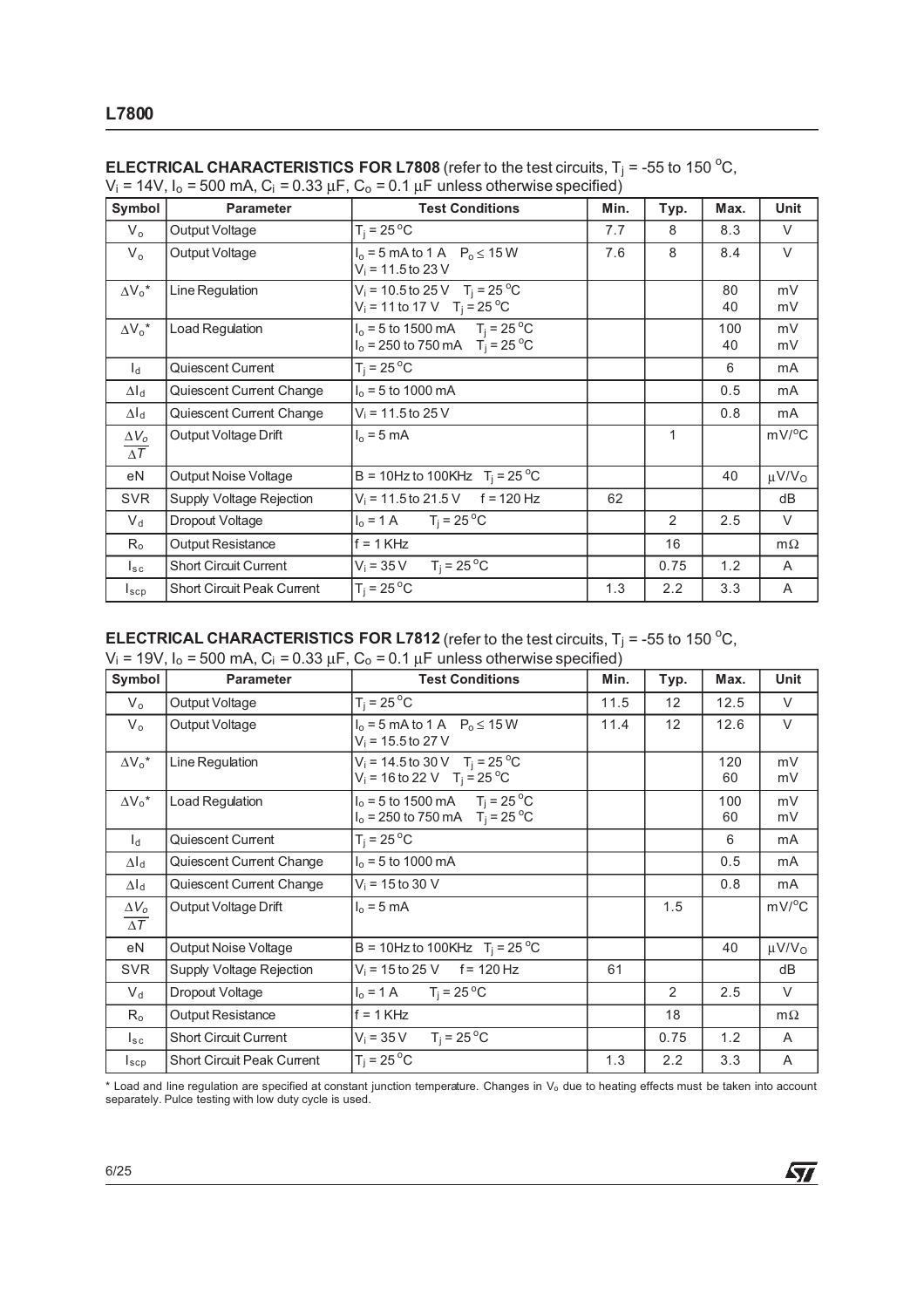| Symbol                     | <b>Parameter</b>                  | <b>Test Conditions</b>                                                                   | Min. | Typ. | Max.      | Unit                   |
|----------------------------|-----------------------------------|------------------------------------------------------------------------------------------|------|------|-----------|------------------------|
| $V_{o}$                    | Output Voltage                    | $T_i = 25^{\circ}C$                                                                      | 7.7  | 8    | 8.3       | V                      |
| $V_{o}$                    | Output Voltage                    | $I_0 = 5$ mA to 1 A $P_0 \le 15$ W<br>$V_i = 11.5$ to 23 V                               | 7.6  | 8    | 8.4       | $\vee$                 |
| $\Delta V_0^*$             | Line Regulation                   | $V_i = 10.5$ to 25 V T <sub>i</sub> = 25 °C<br>$V_i = 11$ to 17 V T <sub>i</sub> = 25 °C |      |      | 80<br>40  | mV<br>mV               |
| $\Delta V_0^*$             | Load Regulation                   | $I_0 = 5$ to 1500 mA $T_i = 25$ °C<br>$I_0 = 250$ to 750 mA $T_i = 25$ °C                |      |      | 100<br>40 | mV<br>mV               |
| $l_{\rm d}$                | Quiescent Current                 | $T_i = 25^{\circ}C$                                                                      |      |      | 6         | mA                     |
| $\Delta I_d$               | Quiescent Current Change          | $I_0 = 5$ to 1000 mA                                                                     |      |      | 0.5       | mA                     |
| $\Delta I_d$               | Quiescent Current Change          | $V_i = 11.5$ to 25 V                                                                     |      |      | 0.8       | mA                     |
| $\Delta V_o$<br>$\Delta T$ | Output Voltage Drift              | $I_0 = 5$ mA                                                                             |      | 1    |           | $mV$ <sup>o</sup> C    |
| eN                         | Output Noise Voltage              | B = 10Hz to 100KHz $T_i = 25^{\circ}$ C                                                  |      |      | 40        | $\mu$ V/V <sub>o</sub> |
| <b>SVR</b>                 | Supply Voltage Rejection          | $V_i = 11.5$ to 21.5 V f = 120 Hz                                                        | 62   |      |           | dB                     |
| $V_d$                      | Dropout Voltage                   | $T_i = 25^{\circ}$ C<br>$I_0 = 1 A$                                                      |      | 2    | 2.5       | V                      |
| $R_{o}$                    | <b>Output Resistance</b>          | $f = 1$ KHz                                                                              |      | 16   |           | $m\Omega$              |
| $I_{\rm sc}$               | <b>Short Circuit Current</b>      | $T_i = 25^{\circ}C$<br>$V_i = 35 V$                                                      |      | 0.75 | 1.2       | A                      |
| $I_{\texttt{scp}}$         | <b>Short Circuit Peak Current</b> | $T_i = 25^{\circ}C$                                                                      | 1.3  | 2.2  | 3.3       | A                      |

| <b>ELECTRICAL CHARACTERISTICS FOR L7808</b> (refer to the test circuits, $T_i$ = -55 to 150 °C,  |  |
|--------------------------------------------------------------------------------------------------|--|
| $V_i = 14V$ , $I_o = 500$ mA, $C_i = 0.33 \mu F$ , $C_o = 0.1 \mu F$ unless otherwise specified) |  |

# **ELECTRICAL CHARACTERISTICS FOR L7812** (refer to the test circuits,  $T_j$  = -55 to 150 <sup>o</sup>C,

 $V_i$  = 19V, I<sub>o</sub> = 500 mA, C<sub>i</sub> = 0.33  $\mu$ F, C<sub>o</sub> = 0.1  $\mu$ F unless otherwise specified)

| Symbol                                | <b>Parameter</b>                  | <b>Test Conditions</b>                                                                         | Min. | Typ. | Max.      | Unit                   |
|---------------------------------------|-----------------------------------|------------------------------------------------------------------------------------------------|------|------|-----------|------------------------|
| $V_{o}$                               | Output Voltage                    | $T_i = 25^{\circ}C$                                                                            | 11.5 | 12   | 12.5      | V                      |
| $V_{o}$                               | Output Voltage                    | $I_0 = 5$ mA to 1 A $P_0 \le 15$ W<br>$V_i = 15.5$ to 27 V                                     | 11.4 | 12   | 12.6      | V                      |
| $\Delta V_0^*$                        | Line Regulation                   | $V_i = 14.5$ to 30 V T <sub>i</sub> = 25 °C<br>$V_i = 16$ to 22 V T <sub>i</sub> = 25 °C       |      |      | 120<br>60 | mV<br>mV               |
| $\Delta V_0^*$                        | Load Regulation                   | $I_0 = 5$ to 1500 mA T <sub>i</sub> = 25 <sup>o</sup> C<br>$I_0 = 250$ to 750 mA $T_i = 25$ °C |      |      | 100<br>60 | mV<br>mV               |
| $\mathsf{h}$                          | Quiescent Current                 | $T_i = 25^{\circ}C$                                                                            |      |      | 6         | mA                     |
| $\Delta I_d$                          | Quiescent Current Change          | $I_0 = 5$ to 1000 mA                                                                           |      |      | 0.5       | mA                     |
| $\Delta I_d$                          | Quiescent Current Change          | $V_i = 15$ to 30 V                                                                             |      |      | 0.8       | mA                     |
| $\Delta V_o$<br>$\overline{\Delta T}$ | Output Voltage Drift              | $I_0 = 5$ mA                                                                                   |      | 1.5  |           | $mV$ <sup>o</sup> C    |
| eN                                    | Output Noise Voltage              | B = 10Hz to 100KHz $T_i = 25 °C$                                                               |      |      | 40        | $\mu$ V/V <sub>O</sub> |
| <b>SVR</b>                            | Supply Voltage Rejection          | $V_i = 15$ to 25 V f = 120 Hz                                                                  | 61   |      |           | dB                     |
| $V_d$                                 | Dropout Voltage                   | $I_0 = 1 \text{ A}$ $T_i = 25 \text{ }^{\circ}\text{C}$                                        |      | 2    | 2.5       | $\vee$                 |
| $R_{o}$                               | Output Resistance                 | $f = 1$ KHz                                                                                    |      | 18   |           | $m\Omega$              |
| $I_{\tt sc}$                          | <b>Short Circuit Current</b>      | $T_i = 25^{\circ}$ C<br>$V_i = 35 V$                                                           |      | 0.75 | 1.2       | A                      |
| $I_{\text{scp}}$                      | <b>Short Circuit Peak Current</b> | $T_i = 25^{\circ}C$                                                                            | 1.3  | 2.2  | 3.3       | A                      |

\* Load and line regulation are specified at constant junction temperature. Changes in V<sup>o</sup> due to heating effects must be taken into account separately. Pulce testing with low duty cycle is used.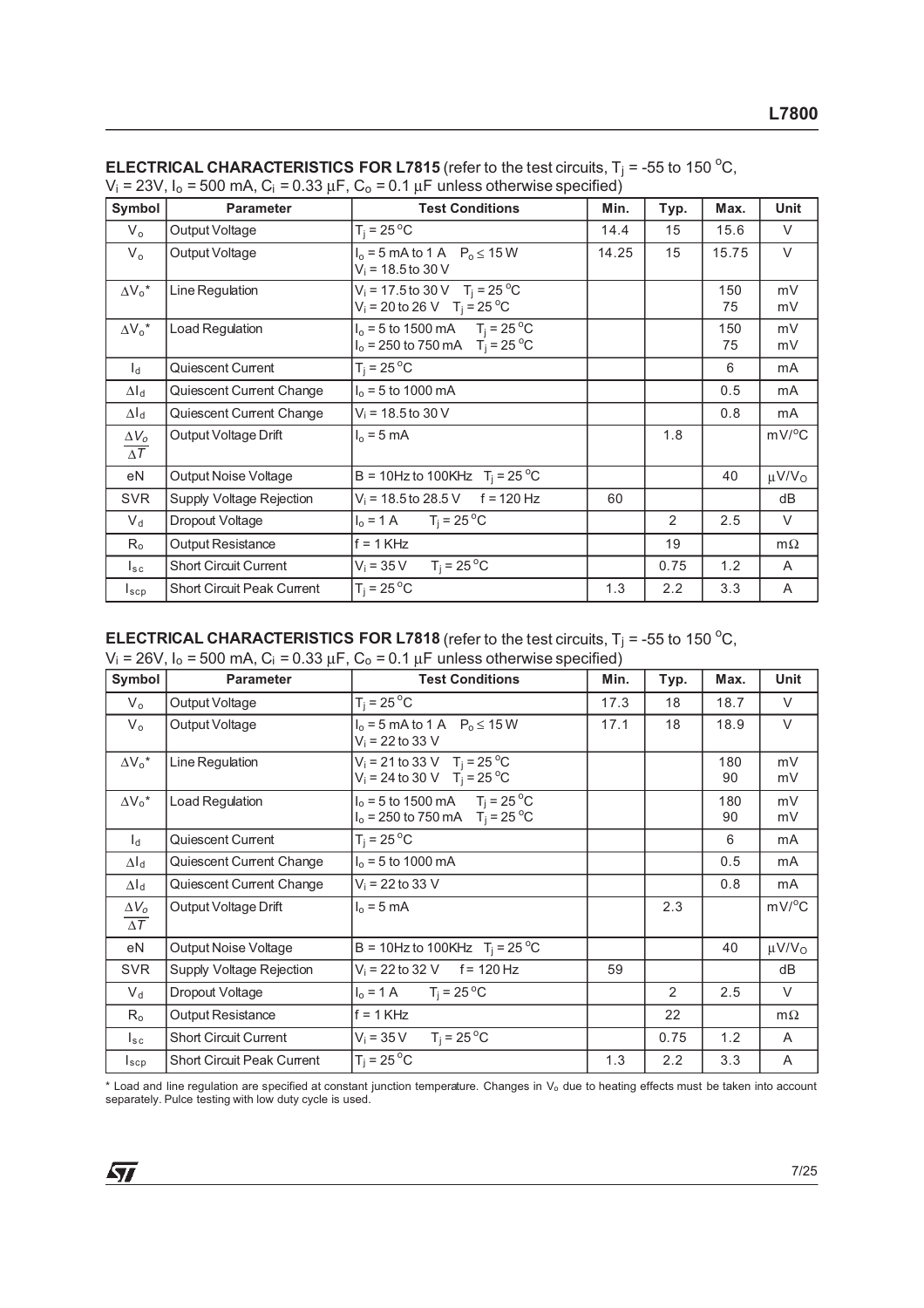| Symbol                     | <b>Parameter</b>                  | <b>Test Conditions</b>                                                                               | Min.  | Typ. | Max.      | <b>Unit</b>            |
|----------------------------|-----------------------------------|------------------------------------------------------------------------------------------------------|-------|------|-----------|------------------------|
| $V_{o}$                    | Output Voltage                    | $T_i = 25 °C$                                                                                        | 14.4  | 15   | 15.6      | V                      |
| $V_{o}$                    | Output Voltage                    | $I_0 = 5$ mA to 1 A $P_0 \le 15$ W<br>$V_i = 18.5$ to 30 V                                           | 14.25 | 15   | 15.75     | $\vee$                 |
| $\Delta V_0^*$             | Line Regulation                   | $V_i = 17.5$ to 30 V T <sub>i</sub> = 25 <sup>o</sup> C<br>$V_i = 20$ to 26 V T <sub>i</sub> = 25 °C |       |      | 150<br>75 | mV<br>mV               |
| $\Delta V_0^*$             | Load Regulation                   | $I_0 = 5$ to 1500 mA $T_i = 25$ °C<br>$I_0 = 250$ to 750 mA $T_i = 25$ °C                            |       |      | 150<br>75 | mV<br>mV               |
| $\mathsf{I}_{\mathsf{d}}$  | Quiescent Current                 | $T_i = 25^{\circ}$ C                                                                                 |       |      | 6         | mA                     |
| $\Delta I_d$               | Quiescent Current Change          | $I_0 = 5$ to 1000 mA                                                                                 |       |      | 0.5       | mA                     |
| $\Delta I_d$               | Quiescent Current Change          | $V_i = 18.5$ to 30 V                                                                                 |       |      | 0.8       | mA                     |
| $\Delta V_o$<br>$\Delta T$ | Output Voltage Drift              | $I_0 = 5$ mA                                                                                         |       | 1.8  |           | $mV$ <sup>o</sup> C    |
| eN                         | Output Noise Voltage              | B = 10Hz to 100KHz $T_i = 25^{\circ}$ C                                                              |       |      | 40        | $\mu$ V/V <sub>o</sub> |
| <b>SVR</b>                 | Supply Voltage Rejection          | $V_i = 18.5$ to 28.5 V f = 120 Hz                                                                    | 60    |      |           | dB                     |
| $V_{\rm d}$                | Dropout Voltage                   | $T_i = 25^{\circ}$ C<br>$I_0 = 1 A$                                                                  |       | 2    | 2.5       | $\vee$                 |
| $R_{o}$                    | Output Resistance                 | $f = 1$ KHz                                                                                          |       | 19   |           | $m\Omega$              |
| $I_{\rm sc}$               | <b>Short Circuit Current</b>      | $T_i = 25^{\circ}C$<br>$V_i = 35 V$                                                                  |       | 0.75 | 1.2       | A                      |
| $I_{\texttt{SCP}}$         | <b>Short Circuit Peak Current</b> | $T_i = 25^{\circ}C$                                                                                  | 1.3   | 2.2  | 3.3       | A                      |

| <b>ELECTRICAL CHARACTERISTICS FOR L7815</b> (refer to the test circuits, $T_i$ = -55 to 150 °C,  |  |
|--------------------------------------------------------------------------------------------------|--|
| $V_i = 23V$ , $I_o = 500$ mA, $C_i = 0.33 \mu F$ , $C_o = 0.1 \mu F$ unless otherwise specified) |  |

# **ELECTRICAL CHARACTERISTICS FOR L7818** (refer to the test circuits,  $T_j = -55$  to 150 °C,

 $V_i = 26V$ ,  $I_0 = 500$  mA,  $C_i = 0.33$   $\mu$ F,  $C_0 = 0.1$   $\mu$ F unless otherwise specified)

| Symbol                     | <b>Parameter</b>                  | <b>Test Conditions</b>                                                                 | Min. | Typ. | Max.      | Unit                   |
|----------------------------|-----------------------------------|----------------------------------------------------------------------------------------|------|------|-----------|------------------------|
| $V_{o}$                    | Output Voltage                    | $T_i = 25^{\circ}C$                                                                    | 17.3 | 18   | 18.7      | V                      |
| $V_{o}$                    | Output Voltage                    | $I_0 = 5$ mA to 1 A $P_0 \le 15$ W<br>$V_i = 22$ to 33 V                               | 17.1 | 18   | 18.9      | $\vee$                 |
| $\Delta V_0^*$             | Line Regulation                   | $V_i = 21$ to 33 V T <sub>i</sub> = 25 °C<br>$V_i = 24$ to 30 V T <sub>i</sub> = 25 °C |      |      | 180<br>90 | mV<br>mV               |
| $\Delta V_0{}^\star$       | Load Regulation                   | $I_0 = 5$ to 1500 mA $T_i = 25^{\circ}$ C<br>$I_0 = 250$ to 750 mA $T_i = 25$ °C       |      |      | 180<br>90 | mV<br>mV               |
| $I_d$                      | Quiescent Current                 | $T_i = 25^{\circ}C$                                                                    |      |      | 6         | mA                     |
| $\Delta I_d$               | Quiescent Current Change          | $I_0 = 5$ to 1000 mA                                                                   |      |      | 0.5       | mA                     |
| $\Delta I_d$               | Quiescent Current Change          | $V_i = 22$ to 33 V                                                                     |      |      | 0.8       | mA                     |
| $\Delta V_o$<br>$\Delta T$ | Output Voltage Drift              | $I_0 = 5$ mA                                                                           |      | 2.3  |           | $mV/^{\circ}C$         |
| eN                         | Output Noise Voltage              | B = 10Hz to 100KHz $T_i = 25 °C$                                                       |      |      | 40        | $\mu$ V/V <sub>o</sub> |
| <b>SVR</b>                 | Supply Voltage Rejection          | $V_i = 22$ to 32 V f = 120 Hz                                                          | 59   |      |           | dB                     |
| $V_d$                      | Dropout Voltage                   | $I_0 = 1 \text{ A}$ $T_i = 25 \text{ }^{\circ}\text{C}$                                |      | 2    | 2.5       | $\vee$                 |
| $R_{o}$                    | Output Resistance                 | $f = 1$ KHz                                                                            |      | 22   |           | $m\Omega$              |
| $I_{sc}$                   | <b>Short Circuit Current</b>      | $T_i = 25^{\circ}$ C<br>$V_i = 35 V$                                                   |      | 0.75 | 1.2       | A                      |
| $I_{\text{scp}}$           | <b>Short Circuit Peak Current</b> | $T_i = 25^{\circ}C$                                                                    | 1.3  | 2.2  | 3.3       | Α                      |

\* Load and line regulation are specified at constant junction temperature. Changes in V<sup>o</sup> due to heating effects must be taken into account separately. Pulce testing with low duty cycle is used.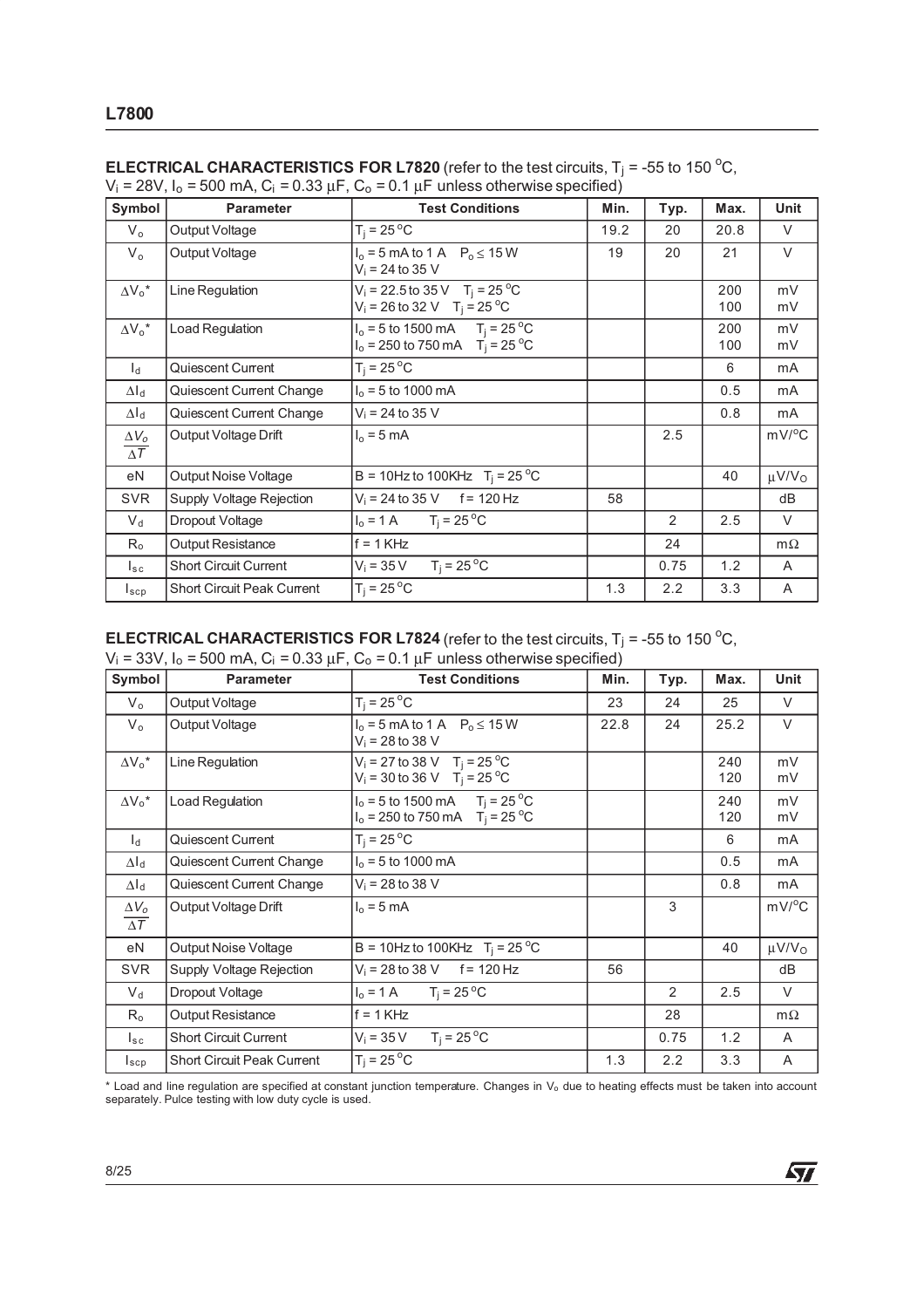| Symbol                                | <b>Parameter</b>                  | <b>Test Conditions</b>                                                                   | Min. | Typ.           | Max.       | Unit                   |
|---------------------------------------|-----------------------------------|------------------------------------------------------------------------------------------|------|----------------|------------|------------------------|
| $V_{o}$                               | Output Voltage                    | $T_i = 25^{\circ}C$                                                                      | 19.2 | 20             | 20.8       | V                      |
| $V_{o}$                               | Output Voltage                    | $I_0 = 5$ mA to 1 A $P_0 \le 15$ W<br>$V_i = 24$ to 35 V                                 | 19   | 20             | 21         | $\vee$                 |
| $\Delta V_0^*$                        | Line Regulation                   | $V_i = 22.5$ to 35 V T <sub>i</sub> = 25 °C<br>$V_i = 26$ to 32 V T <sub>i</sub> = 25 °C |      |                | 200<br>100 | mV<br>mV               |
| $\Delta V_0^*$                        | Load Regulation                   | $I_0 = 5$ to 1500 mA $T_i = 25$ °C<br>$I_0 = 250$ to 750 mA $T_i = 25$ °C                |      |                | 200<br>100 | mV<br>mV               |
| $l_{\rm d}$                           | Quiescent Current                 | $T_i = 25^{\circ}C$                                                                      |      |                | 6          | mA                     |
| $\Delta I_d$                          | Quiescent Current Change          | $I_0 = 5$ to 1000 mA                                                                     |      |                | 0.5        | mA                     |
| $\Delta I_d$                          | Quiescent Current Change          | $V_i = 24$ to 35 V                                                                       |      |                | 0.8        | mA                     |
| $\Delta V_o$<br>$\overline{\Delta T}$ | Output Voltage Drift              | $I_0 = 5$ mA                                                                             |      | 2.5            |            | $mV$ <sup>o</sup> C    |
| eN                                    | Output Noise Voltage              | B = 10Hz to 100KHz $T_i = 25^{\circ}$ C                                                  |      |                | 40         | $\mu$ V/V <sub>o</sub> |
| <b>SVR</b>                            | Supply Voltage Rejection          | $V_i = 24$ to 35 V f = 120 Hz                                                            | 58   |                |            | dB                     |
| $V_d$                                 | Dropout Voltage                   | $T_i = 25^{\circ}$ C<br>$I_0 = 1 A$                                                      |      | $\overline{2}$ | 2.5        | V                      |
| $R_{o}$                               | <b>Output Resistance</b>          | $f = 1$ KHz                                                                              |      | 24             |            | $m\Omega$              |
| $I_{\rm sc}$                          | <b>Short Circuit Current</b>      | $T_i = 25^{\circ}C$<br>$V_i = 35 V$                                                      |      | 0.75           | 1.2        | A                      |
| $I_{\texttt{scp}}$                    | <b>Short Circuit Peak Current</b> | $T_i = 25^{\circ}C$                                                                      | 1.3  | 2.2            | 3.3        | A                      |

| <b>ELECTRICAL CHARACTERISTICS FOR L7820</b> (refer to the test circuits, $T_i$ = -55 to 150 °C,  |  |
|--------------------------------------------------------------------------------------------------|--|
| $V_i = 28V$ , $I_o = 500$ mA, $C_i = 0.33 \mu F$ , $C_o = 0.1 \mu F$ unless otherwise specified) |  |

### **ELECTRICAL CHARACTERISTICS FOR L7824** (refer to the test circuits,  $T_j$  = -55 to 150  $^{\circ}$ C,

 $V_i$  = 33V, I<sub>o</sub> = 500 mA, C<sub>i</sub> = 0.33  $\mu$ F, C<sub>o</sub> = 0.1  $\mu$ F unless otherwise specified)

| Symbol                                | <b>Parameter</b>                  | <b>Test Conditions</b>                                                                         | Min. | Typ. | Max.       | Unit                   |
|---------------------------------------|-----------------------------------|------------------------------------------------------------------------------------------------|------|------|------------|------------------------|
| $V_{o}$                               | Output Voltage                    | $T_i = 25^{\circ}C$                                                                            | 23   | 24   | 25         | V                      |
| $V_{o}$                               | Output Voltage                    | $I_0 = 5$ mA to 1 A $P_0 \le 15$ W<br>$V_i = 28$ to 38 V                                       | 22.8 | 24   | 25.2       | V                      |
| $\Delta V_0^*$                        | Line Regulation                   | $V_i = 27$ to 38 V T <sub>i</sub> = 25 °C<br>$V_i = 30$ to 36 V T <sub>i</sub> = 25 °C         |      |      | 240<br>120 | mV<br>mV               |
| $\Delta V_0{}^\star$                  | Load Regulation                   | $I_0 = 5$ to 1500 mA T <sub>i</sub> = 25 <sup>o</sup> C<br>$I_0 = 250$ to 750 mA $T_i = 25$ °C |      |      | 240<br>120 | mV<br>mV               |
| $\mathsf{h}$                          | Quiescent Current                 | $T_i = 25^{\circ}C$                                                                            |      |      | 6          | mA                     |
| $\Delta I_d$                          | Quiescent Current Change          | $I_0 = 5$ to 1000 mA                                                                           |      |      | 0.5        | mA                     |
| $\Delta I_d$                          | Quiescent Current Change          | $V_i = 28$ to 38 V                                                                             |      |      | 0.8        | mA                     |
| $\Delta V_o$<br>$\overline{\Delta T}$ | Output Voltage Drift              | $I_0 = 5$ mA                                                                                   |      | 3    |            | $mV$ <sup>o</sup> C    |
| eN                                    | Output Noise Voltage              | B = 10Hz to 100KHz $T_i = 25 °C$                                                               |      |      | 40         | $\mu$ V/V <sub>O</sub> |
| <b>SVR</b>                            | Supply Voltage Rejection          | $V_i = 28$ to 38 V f = 120 Hz                                                                  | 56   |      |            | dB                     |
| $V_d$                                 | Dropout Voltage                   | $I_0 = 1 \text{ A}$ $T_i = 25 \text{ }^{\circ}\text{C}$                                        |      | 2    | 2.5        | $\vee$                 |
| $R_{o}$                               | Output Resistance                 | $f = 1$ KHz                                                                                    |      | 28   |            | $m\Omega$              |
| $I_{\tt sc}$                          | <b>Short Circuit Current</b>      | $T_i = 25^{\circ}$ C<br>$V_i = 35 V$                                                           |      | 0.75 | 1.2        | A                      |
| $I_{\text{scp}}$                      | <b>Short Circuit Peak Current</b> | $T_i = 25^{\circ}C$                                                                            | 1.3  | 2.2  | 3.3        | A                      |

\* Load and line regulation are specified at constant junction temperature. Changes in V<sup>o</sup> due to heating effects must be taken into account separately. Pulce testing with low duty cycle is used.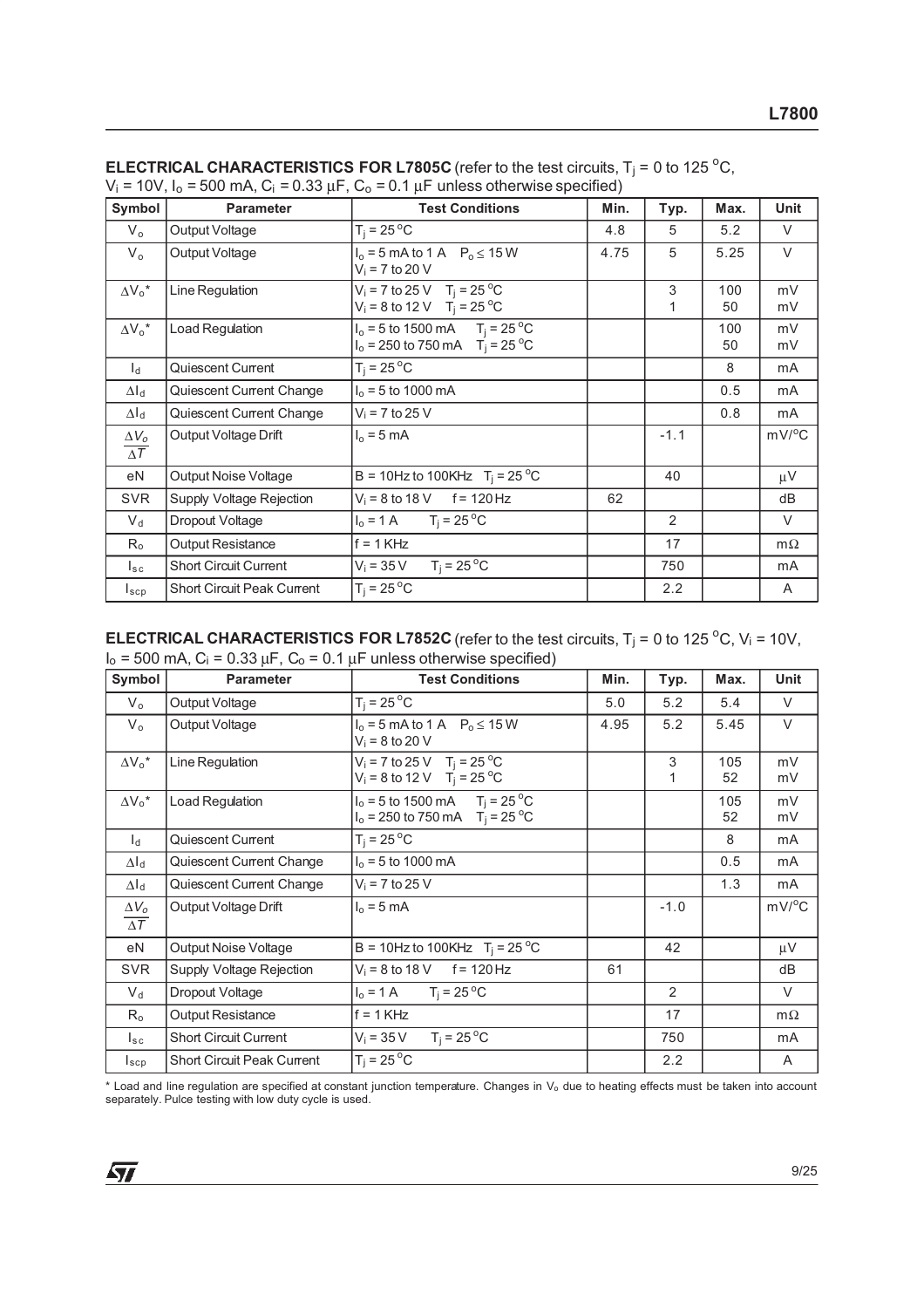| Symbol                     | <b>Parameter</b>                  | <b>Test Conditions</b>                                                               | Min. | Typ.           | Max.      | <b>Unit</b>         |
|----------------------------|-----------------------------------|--------------------------------------------------------------------------------------|------|----------------|-----------|---------------------|
| $V_{o}$                    | Output Voltage                    | $T_i = 25 °C$                                                                        | 4.8  | 5              | 5.2       | V                   |
| $V_{o}$                    | Output Voltage                    | $I_0 = 5$ mA to 1 A $P_0 \le 15$ W<br>$V_i$ = 7 to 20 V                              | 4.75 | 5              | 5.25      | $\vee$              |
| $\Delta V_0^*$             | Line Regulation                   | $V_i = 7$ to 25 V T <sub>i</sub> = 25 °C<br>$V_i = 8$ to 12 V T <sub>i</sub> = 25 °C |      | 3<br>1         | 100<br>50 | mV<br>mV            |
| $\Delta V_o^*$             | Load Regulation                   | $I_0 = 5$ to 1500 mA $T_i = 25$ °C<br>$I_0 = 250$ to 750 mA $T_i = 25$ °C            |      |                | 100<br>50 | mV<br>mV            |
| $\mathsf{I}_{\mathsf{d}}$  | Quiescent Current                 | $T_i = 25^{\circ}C$                                                                  |      |                | 8         | mA                  |
| $\Delta I_d$               | Quiescent Current Change          | $I_0 = 5$ to 1000 mA                                                                 |      |                | 0.5       | mA                  |
| $\Delta I_d$               | Quiescent Current Change          | $V_i = 7$ to 25 V                                                                    |      |                | 0.8       | mA                  |
| $\Delta V_o$<br>$\Delta T$ | Output Voltage Drift              | $I_0 = 5$ mA                                                                         |      | $-1.1$         |           | $mV$ <sup>o</sup> C |
| eN                         | Output Noise Voltage              | B = 10Hz to 100KHz $T_i = 25^{\circ}$ C                                              |      | 40             |           | μV                  |
| <b>SVR</b>                 | Supply Voltage Rejection          | $V_i = 8$ to 18 V f = 120 Hz                                                         | 62   |                |           | dB                  |
| $V_d$                      | Dropout Voltage                   | $I_0 = 1 \text{ A}$ $T_i = 25 \text{ }^{\circ}\text{C}$                              |      | $\overline{2}$ |           | V                   |
| $R_{o}$                    | Output Resistance                 | $f = 1$ KHz                                                                          |      | 17             |           | $m\Omega$           |
| $I_{\tt sc}$               | <b>Short Circuit Current</b>      | $T_i = 25^{\circ}C$<br>$V_i = 35 V$                                                  |      | 750            |           | mA                  |
| $I_{\text{scp}}$           | <b>Short Circuit Peak Current</b> | $T_i = 25^{\circ}C$                                                                  |      | 2.2            |           | A                   |

| <b>ELECTRICAL CHARACTERISTICS FOR L7805C</b> (refer to the test circuits, $T_i = 0$ to 125 °C,     |  |
|----------------------------------------------------------------------------------------------------|--|
| $V_i$ = 10V, $I_o$ = 500 mA, $C_i$ = 0.33 $\mu$ F, $C_o$ = 0.1 $\mu$ F unless otherwise specified) |  |

**ELECTRICAL CHARACTERISTICS FOR L7852C** (refer to the test circuits,  $T_j = 0$  to 125 °C,  $V_i = 10V$ ,  $I_0$  = 500 mA,  $C_i$  = 0.33  $\mu$ F,  $C_0$  = 0.1  $\mu$ F unless otherwise specified)

| Symbol                                | <b>Parameter</b>                  | <b>Test Conditions</b>                                                               | Min. | Typ.   | Max.      | Unit           |
|---------------------------------------|-----------------------------------|--------------------------------------------------------------------------------------|------|--------|-----------|----------------|
| $V_{o}$                               | Output Voltage                    | $T_i = 25^{\circ}C$                                                                  | 5.0  | 5.2    | 5.4       | $\vee$         |
| $V_{o}$                               | Output Voltage                    | $I_0 = 5$ mA to 1 A $P_0 \le 15$ W<br>$V_i = 8$ to 20 V                              | 4.95 | 5.2    | 5.45      | $\vee$         |
| $\Delta V_0^*$                        | Line Regulation                   | $V_i = 7$ to 25 V T <sub>i</sub> = 25 °C<br>$V_i = 8$ to 12 V T <sub>i</sub> = 25 °C |      | 3      | 105<br>52 | mV<br>mV       |
| $\Delta V_0^*$                        | Load Regulation                   | $I_0 = 5$ to 1500 mA $T_j = 25$ °C<br>$I_0 = 250$ to 750 mA $T_i = 25$ °C            |      |        | 105<br>52 | mV<br>mV       |
| $\mathsf{I}_{\mathsf{d}}$             | Quiescent Current                 | $T_i = 25^{\circ}C$                                                                  |      |        | 8         | mA             |
| $\Delta I_d$                          | Quiescent Current Change          | $I_0 = 5$ to 1000 mA                                                                 |      |        | 0.5       | mA             |
| $\Delta I_d$                          | Quiescent Current Change          | $V_i$ = 7 to 25 V                                                                    |      |        | 1.3       | mA             |
| $\Delta V_o$<br>$\overline{\Delta T}$ | Output Voltage Drift              | $I_0 = 5$ mA                                                                         |      | $-1.0$ |           | $mV/^{\circ}C$ |
| eN                                    | Output Noise Voltage              | B = 10Hz to 100KHz $T_i = 25 °C$                                                     |      | 42     |           | $\mu V$        |
| <b>SVR</b>                            | Supply Voltage Rejection          | $V_i = 8$ to 18 V f = 120 Hz                                                         | 61   |        |           | dB             |
| $V_{d}$                               | Dropout Voltage                   | $I_0 = 1 \text{ A}$ $T_i = 25 \text{ °C}$                                            |      | 2      |           | V              |
| $R_{o}$                               | Output Resistance                 | $f = 1$ KHz                                                                          |      | 17     |           | $m\Omega$      |
| $I_{sc}$                              | <b>Short Circuit Current</b>      | $T_i = 25^{\circ}C$<br>$V_i = 35 V$                                                  |      | 750    |           | mA             |
| $I_{\tt sep}$                         | <b>Short Circuit Peak Current</b> | $T_i = 25^{\circ}C$                                                                  |      | 2.2    |           | A              |

\* Load and line regulation are specified at constant junction temperature. Changes in V<sup>o</sup> due to heating effects must be taken into account separately. Pulce testing with low duty cycle is used.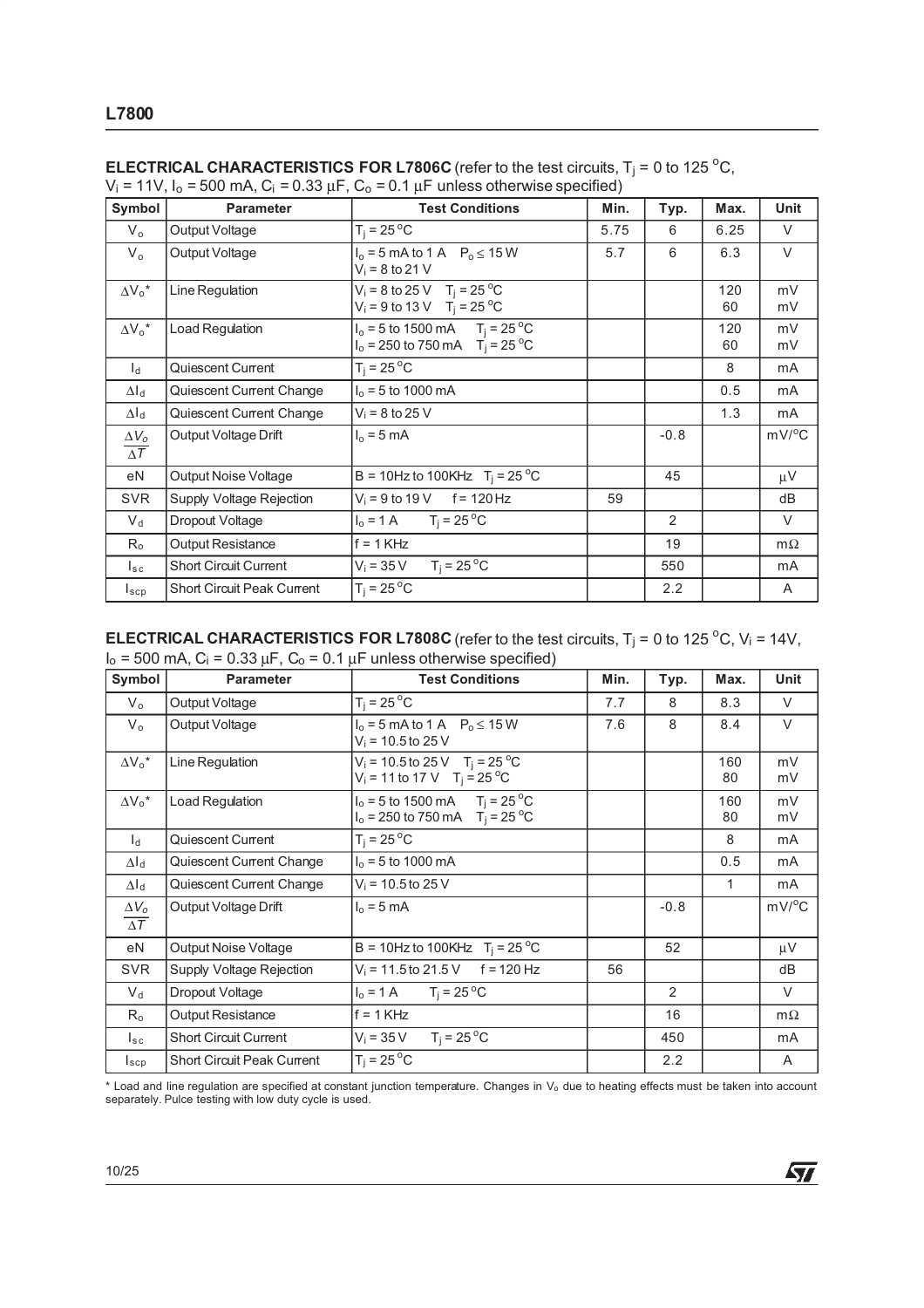| Symbol                       | <b>Parameter</b>                  | <b>Test Conditions</b>                                                               | Min. | Typ.   | Max.      | Unit      |
|------------------------------|-----------------------------------|--------------------------------------------------------------------------------------|------|--------|-----------|-----------|
| $V_{o}$                      | Output Voltage                    | $T_i = 25^{\circ}C$                                                                  | 5.75 | 6      | 6.25      | V         |
| $V_{o}$                      | Output Voltage                    | $I_0 = 5$ mA to 1 A $P_0 \le 15$ W<br>$V_i = 8$ to 21 V                              | 5.7  | 6      | 6.3       | $\vee$    |
| $\Delta V_0^*$               | Line Regulation                   | $V_i = 8$ to 25 V T <sub>j</sub> = 25 °C<br>$V_i = 9$ to 13 V T <sub>i</sub> = 25 °C |      |        | 120<br>60 | mV<br>mV  |
| $\Delta V_0^*$               | Load Regulation                   | $I_0 = 5$ to 1500 mA $T_i = 25$ °C<br>$I_0 = 250$ to 750 mA $T_i = 25$ °C            |      |        | 120<br>60 | mV<br>mV  |
| $l_{\rm d}$                  | Quiescent Current                 | $T_i = 25^{\circ}C$                                                                  |      |        | 8         | mA        |
| $\Delta I_d$                 | Quiescent Current Change          | $I_0 = 5$ to 1000 mA                                                                 |      |        | 0.5       | mA        |
| $\Delta I_d$                 | Quiescent Current Change          | $V_i = 8$ to 25 V                                                                    |      |        | 1.3       | mA        |
| $\Delta V_{o}$<br>$\Delta T$ | Output Voltage Drift              | $I_0 = 5$ mA                                                                         |      | $-0.8$ |           | mV/°C     |
| eN                           | <b>Output Noise Voltage</b>       | B = 10Hz to 100KHz $T_i = 25^{\circ}C$                                               |      | 45     |           | $\mu$ V   |
| <b>SVR</b>                   | Supply Voltage Rejection          | $V_i = 9$ to 19 V f = 120 Hz                                                         | 59   |        |           | dB        |
| $V_{\rm d}$                  | Dropout Voltage                   | $I_0 = 1 \text{ A}$ $T_i = 25 \text{ }^{\circ}\text{C}$                              |      | 2      |           | V         |
| $R_{o}$                      | Output Resistance                 | $f = 1$ KHz                                                                          |      | 19     |           | $m\Omega$ |
| $I_{\text{sc}}$              | <b>Short Circuit Current</b>      | $T_i = 25^{\circ}$ C<br>$V_i = 35 V$                                                 |      | 550    |           | mA        |
| $I_{\texttt{SCP}}$           | <b>Short Circuit Peak Current</b> | $T_i = 25^{\circ}C$                                                                  |      | 2.2    |           | A         |

| <b>ELECTRICAL CHARACTERISTICS FOR L7806C</b> (refer to the test circuits, $T_i = 0$ to 125 °C, |  |  |
|------------------------------------------------------------------------------------------------|--|--|
|------------------------------------------------------------------------------------------------|--|--|

V<sub>i</sub> = 11V, I<sub>o</sub> = 500 mA, C<sub>i</sub> = 0.33  $\mu$ F, C<sub>o</sub> = 0.1  $\mu$ F unless otherwise specified)

**ELECTRICAL CHARACTERISTICS FOR L7808C** (refer to the test circuits,  $T_j = 0$  to 125 °C,  $V_i = 14V$ ,  $I_0 = 500$  mA,  $C_i = 0.33 \mu F$ ,  $C_0 = 0.1 \mu F$  unless otherwise specified)

| Symbol                     | <b>Parameter</b>                  | <b>Test Conditions</b>                                                                         | Min. | Typ.   | Max.      | Unit         |
|----------------------------|-----------------------------------|------------------------------------------------------------------------------------------------|------|--------|-----------|--------------|
| $V_{o}$                    | Output Voltage                    | $T_i = 25^{\circ}C$                                                                            | 7.7  | 8      | 8.3       | $\vee$       |
| $V_{o}$                    | Output Voltage                    | $I_0 = 5$ mA to 1 A $P_0 \le 15$ W<br>$V_i = 10.5$ to 25 V                                     | 7.6  | 8      | 8.4       | $\vee$       |
| $\Delta V_0^*$             | Line Regulation                   | $V_i = 10.5$ to 25 V T <sub>i</sub> = 25 °C<br>$V_i = 11$ to 17 V T <sub>i</sub> = 25 °C       |      |        | 160<br>80 | mV<br>mV     |
| $\Delta V_0^*$             | Load Regulation                   | $I_0 = 5$ to 1500 mA T <sub>i</sub> = 25 <sup>o</sup> C<br>$I_0 = 250$ to 750 mA $T_i = 25$ °C |      |        | 160<br>80 | mV<br>mV     |
| $\mathsf{I}_{\mathsf{d}}$  | Quiescent Current                 | $T_i = 25^{\circ}C$                                                                            |      |        | 8         | mA           |
| $\Delta I_d$               | Quiescent Current Change          | $I_0 = 5$ to 1000 mA                                                                           |      |        | 0.5       | mA           |
| $\Delta I_d$               | Quiescent Current Change          | $V_i = 10.5$ to 25 V                                                                           |      |        | 1         | mA           |
| $\Delta V_o$<br>$\Delta T$ | Output Voltage Drift              | $I_0 = 5$ mA                                                                                   |      | $-0.8$ |           | $mV/{}^{o}C$ |
| eN                         | Output Noise Voltage              | B = 10Hz to 100KHz $T_i = 25 °C$                                                               |      | 52     |           | $\mu V$      |
| <b>SVR</b>                 | Supply Voltage Rejection          | $V_i = 11.5$ to 21.5 V f = 120 Hz                                                              | 56   |        |           | dB           |
| $V_{d}$                    | Dropout Voltage                   | $T_i = 25^{\circ}C$<br>$I_0 = 1 A$                                                             |      | 2      |           | $\vee$       |
| $R_{o}$                    | Output Resistance                 | $f = 1$ KHz                                                                                    |      | 16     |           | $m\Omega$    |
| $I_{sc}$                   | <b>Short Circuit Current</b>      | $T_i = 25^{\circ}C$<br>$V_i = 35 V$                                                            |      | 450    |           | mA           |
| $I_{\tt sep}$              | <b>Short Circuit Peak Current</b> | $T_i = 25^{\circ}C$                                                                            |      | 2.2    |           | A            |

\* Load and line regulation are specified at constant junction temperature. Changes in V<sup>o</sup> due to heating effects must be taken into account separately. Pulce testing with low duty cycle is used.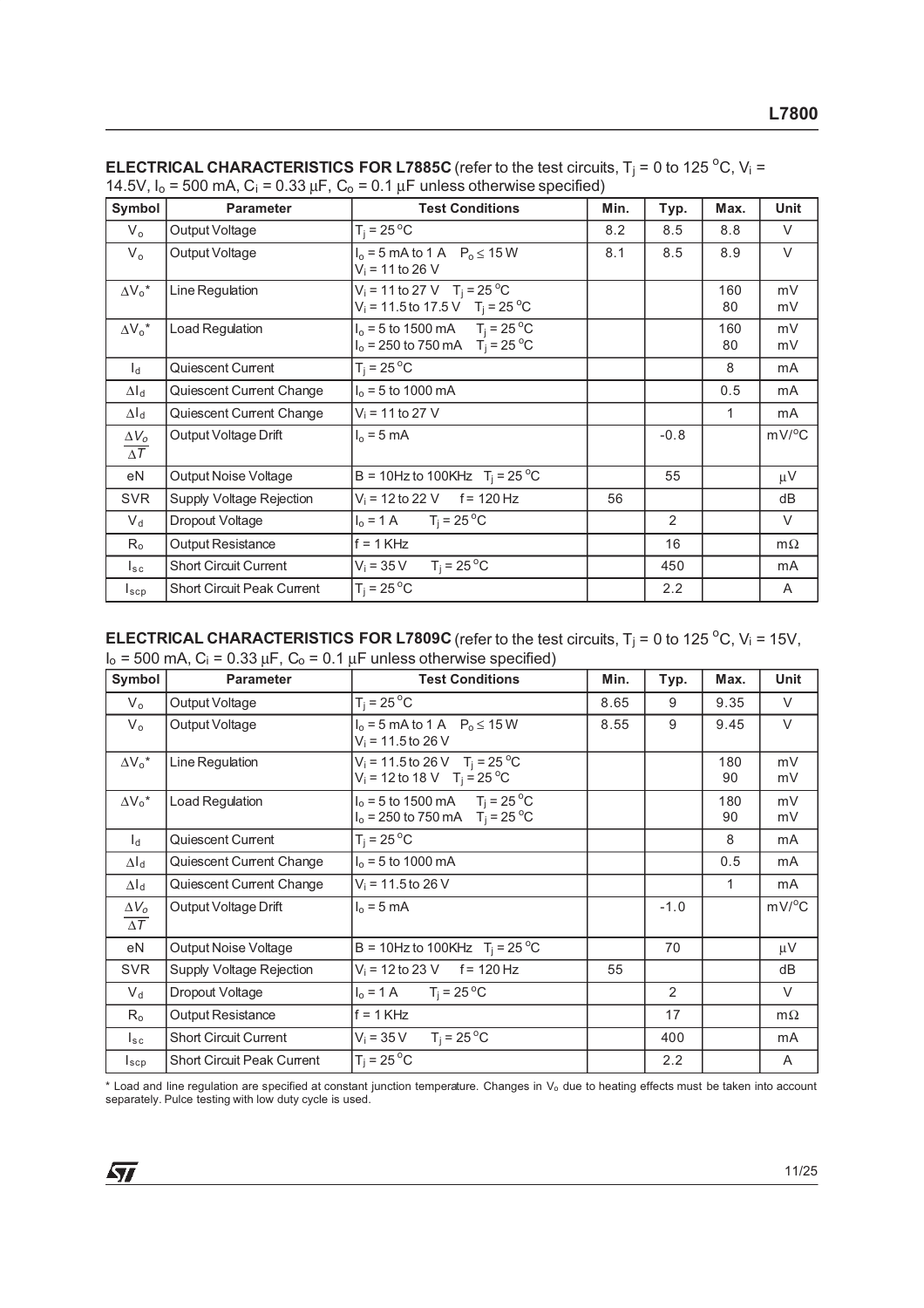| Symbol                       | <b>Parameter</b>                  | <b>Test Conditions</b>                                                                     | Min. | Typ.   | Max.      | <b>Unit</b> |
|------------------------------|-----------------------------------|--------------------------------------------------------------------------------------------|------|--------|-----------|-------------|
| $V_{o}$                      | Output Voltage                    | $T_i = 25^{\circ}C$                                                                        | 8.2  | 8.5    | 8.8       | $\vee$      |
| $V_{o}$                      | Output Voltage                    | $I_0 = 5$ mA to 1 A $P_0 \le 15$ W<br>$V_i = 11$ to 26 V                                   | 8.1  | 8.5    | 8.9       | $\vee$      |
| $\Delta V_0^*$               | Line Regulation                   | $V_i = 11$ to 27 V T <sub>i</sub> = 25 °C<br>$V_i = 11.5$ to 17.5 V T <sub>i</sub> = 25 °C |      |        | 160<br>80 | mV<br>mV    |
| $\Delta V_0^*$               | Load Regulation                   | $I_0 = 5$ to 1500 mA $T_i = 25$ °C<br>$I_0 = 250$ to 750 mA $T_i = 25$ °C                  |      |        | 160<br>80 | mV<br>mV    |
| $\mathsf{I}_{\mathsf{d}}$    | Quiescent Current                 | $T_i = 25^{\circ}C$                                                                        |      |        | 8         | mA          |
| $\Delta I_d$                 | Quiescent Current Change          | $I_0 = 5$ to 1000 mA                                                                       |      |        | 0.5       | mA          |
| $\Delta I_d$                 | Quiescent Current Change          | $V_i = 11$ to 27 V                                                                         |      |        | 1         | mA          |
| $\Delta V_{o}$<br>$\Delta T$ | Output Voltage Drift              | $I_0 = 5$ mA                                                                               |      | $-0.8$ |           | mV/°C       |
| eN                           | Output Noise Voltage              | B = 10Hz to 100KHz $T_i = 25^{\circ}C$                                                     |      | 55     |           | $\mu$ V     |
| <b>SVR</b>                   | Supply Voltage Rejection          | $V_i = 12$ to 22 V f = 120 Hz                                                              | 56   |        |           | dB          |
| $V_d$                        | Dropout Voltage                   | $I_0 = 1 \text{ A}$ $T_i = 25 \text{ }^{\circ}\text{C}$                                    |      | 2      |           | $\vee$      |
| $R_{o}$                      | <b>Output Resistance</b>          | $f = 1$ KHz                                                                                |      | 16     |           | $m\Omega$   |
| $I_{\text{sc}}$              | <b>Short Circuit Current</b>      | $T_i = 25^{\circ}$ C<br>$V_i = 35 V$                                                       |      | 450    |           | mA          |
| $I_{\texttt{scp}}$           | <b>Short Circuit Peak Current</b> | $T_i = 25^{\circ}C$                                                                        |      | 2.2    |           | A           |

| <b>ELECTRICAL CHARACTERISTICS FOR L7885C</b> (refer to the test circuits, $T_i = 0$ to 125 °C, $V_i =$ |
|--------------------------------------------------------------------------------------------------------|
| 14.5V, $I_0$ = 500 mA, C <sub>i</sub> = 0.33 uF, C <sub>0</sub> = 0.1 uF unless otherwise specified)   |

**ELECTRICAL CHARACTERISTICS FOR L7809C** (refer to the test circuits,  $T_j = 0$  to 125 °C,  $V_i = 15V$ ,  $I_0$  = 500 mA, C<sub>i</sub> = 0.33  $\mu$ F, C<sub>o</sub> = 0.1  $\mu$ F unless otherwise specified)

| Symbol                                | <b>Parameter</b>                  | <b>Test Conditions</b>                                                                   | Min. | Typ.   | Max.      | Unit           |
|---------------------------------------|-----------------------------------|------------------------------------------------------------------------------------------|------|--------|-----------|----------------|
| $V_{o}$                               | Output Voltage                    | $T_i = 25^{\circ}C$                                                                      | 8.65 | 9      | 9.35      | V              |
| $V_{o}$                               | Output Voltage                    | $I_0 = 5$ mA to 1 A $P_0 \le 15$ W<br>$V_i = 11.5$ to 26 V                               | 8.55 | 9      | 9.45      | $\vee$         |
| $\Delta V_0^*$                        | Line Regulation                   | $V_i = 11.5$ to 26 V T <sub>i</sub> = 25 °C<br>$V_i = 12$ to 18 V T <sub>i</sub> = 25 °C |      |        | 180<br>90 | mV<br>mV       |
| $\Delta V_0^*$                        | Load Regulation                   | $I_0 = 5$ to 1500 mA $T_i = 25^{\circ}$ C<br>$I_0 = 250$ to 750 mA $T_i = 25$ °C         |      |        | 180<br>90 | mV<br>mV       |
| h                                     | Quiescent Current                 | $T_i = 25^{\circ}C$                                                                      |      |        | 8         | mA             |
| $\Delta I_d$                          | Quiescent Current Change          | $I_0 = 5$ to 1000 mA                                                                     |      |        | 0.5       | mA             |
| $\Delta I_d$                          | Quiescent Current Change          | $V_i = 11.5$ to 26 V                                                                     |      |        | 1         | mA             |
| $\Delta V_o$<br>$\overline{\Delta T}$ | Output Voltage Drift              | $I_0 = 5$ mA                                                                             |      | $-1.0$ |           | $mV/^{\circ}C$ |
| eN                                    | Output Noise Voltage              | B = 10Hz to 100KHz $T_i = 25 °C$                                                         |      | 70     |           | $\mu V$        |
| <b>SVR</b>                            | Supply Voltage Rejection          | $V_i = 12$ to 23 V f = 120 Hz                                                            | 55   |        |           | dB             |
| $V_d$                                 | Dropout Voltage                   | $T_i = 25^{\circ}C$<br>$I_0 = 1 A$                                                       |      | 2      |           | V              |
| $R_{o}$                               | <b>Output Resistance</b>          | $f = 1$ KHz                                                                              |      | 17     |           | $m\Omega$      |
| $I_{\tt sc}$                          | <b>Short Circuit Current</b>      | $T_i = 25^{\circ}C$<br>$V_i = 35 V$                                                      |      | 400    |           | mA             |
| $I_{\tt sep}$                         | <b>Short Circuit Peak Current</b> | $T_i = 25^{\circ}C$                                                                      |      | 2.2    |           | A              |

\* Load and line regulation are specified at constant junction temperature. Changes in V<sup>o</sup> due to heating effects must be taken into account separately. Pulce testing with low duty cycle is used.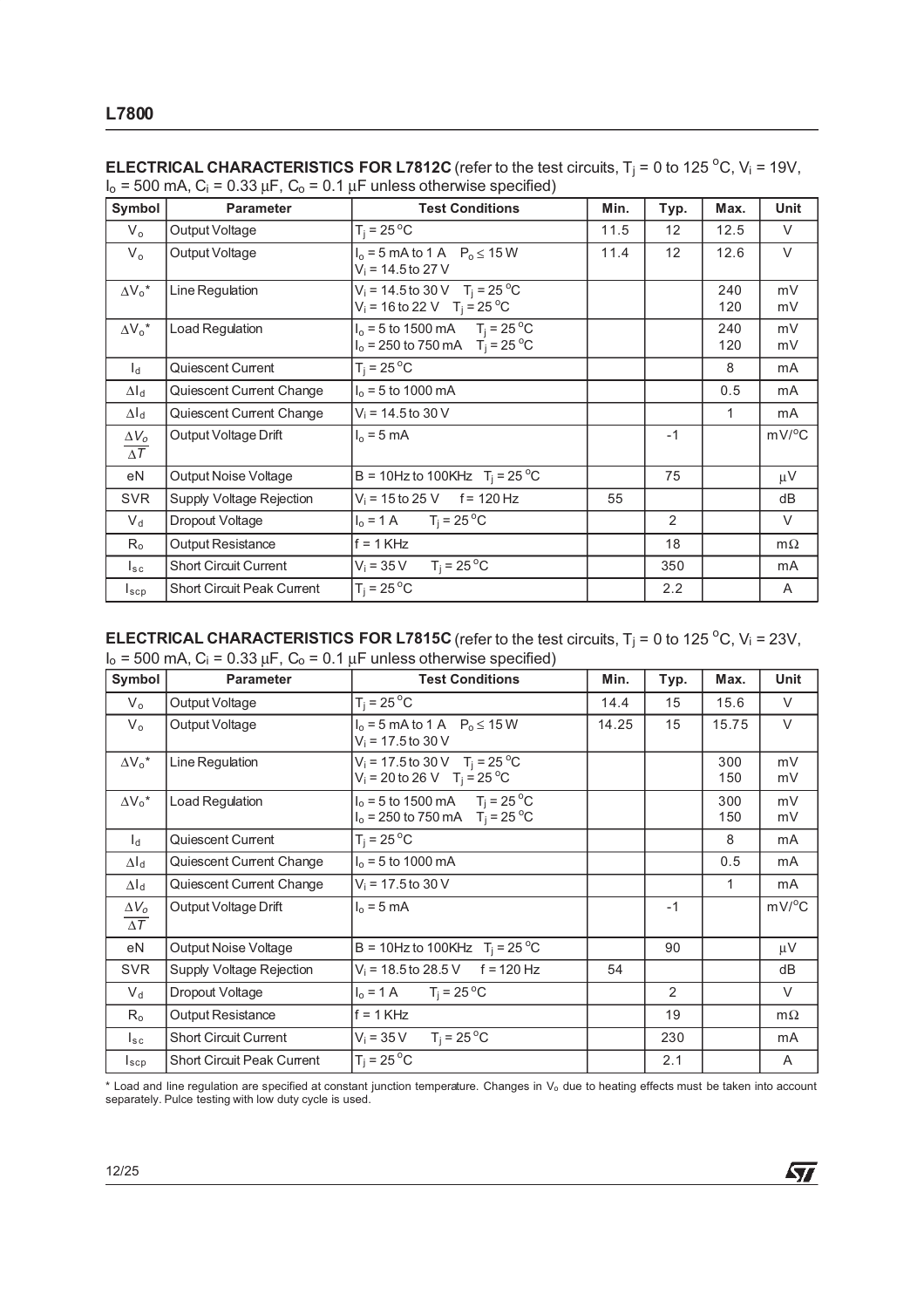| Symbol                     | <b>Parameter</b>                  | <b>Test Conditions</b>                                                                               | Min. | Typ. | Max.       | <b>Unit</b>         |
|----------------------------|-----------------------------------|------------------------------------------------------------------------------------------------------|------|------|------------|---------------------|
| $V_{\alpha}$               | Output Voltage                    | $T_i = 25^{\circ}C$                                                                                  | 11.5 | 12   | 12.5       | $\vee$              |
| $V_{o}$                    | Output Voltage                    | $I_0 = 5$ mA to 1 A $P_0 \le 15$ W<br>$V_i = 14.5$ to 27 V                                           | 11.4 | 12   | 12.6       | $\vee$              |
| $\Delta V_0^*$             | Line Regulation                   | $V_i = 14.5$ to 30 V T <sub>i</sub> = 25 <sup>o</sup> C<br>$V_i = 16$ to 22 V T <sub>i</sub> = 25 °C |      |      | 240<br>120 | mV<br>mV            |
| $\Delta V_o^*$             | Load Regulation                   | $I_0 = 5$ to 1500 mA $T_i = 25$ °C<br>$I_0 = 250$ to 750 mA $T_i = 25$ °C                            |      |      | 240<br>120 | mV<br>mV            |
| $\mathsf{I}_{\mathsf{d}}$  | Quiescent Current                 | $T_i = 25^{\circ}C$                                                                                  |      |      | 8          | mA                  |
| $\Delta I_d$               | Quiescent Current Change          | $I_0 = 5$ to 1000 mA                                                                                 |      |      | 0.5        | mA                  |
| $\Delta I_d$               | Quiescent Current Change          | $V_i = 14.5$ to 30 V                                                                                 |      |      | 1          | mA                  |
| $\Delta V_o$<br>$\Delta T$ | Output Voltage Drift              | $I_0 = 5$ mA                                                                                         |      | $-1$ |            | $mV$ <sup>o</sup> C |
| eN                         | <b>Output Noise Voltage</b>       | B = 10Hz to 100KHz $T_i = 25^{\circ}$ C                                                              |      | 75   |            | $\mu V$             |
| <b>SVR</b>                 | Supply Voltage Rejection          | $V_i = 15$ to 25 V f = 120 Hz                                                                        | 55   |      |            | dB                  |
| $V_d$                      | Dropout Voltage                   | $I_0 = 1 \text{ A}$ $T_i = 25 \text{ }^{\circ}\text{C}$                                              |      | 2    |            | V                   |
| $R_{\rm o}$                | Output Resistance                 | $f = 1$ KHz                                                                                          |      | 18   |            | $m\Omega$           |
| $I_{\tt sc}$               | <b>Short Circuit Current</b>      | $T_i = 25^{\circ}$ C<br>$V_i = 35 V$                                                                 |      | 350  |            | mA                  |
| $I_{\tt sep}$              | <b>Short Circuit Peak Current</b> | $T_i = 25^{\circ}C$                                                                                  |      | 2.2  |            | A                   |

**ELECTRICAL CHARACTERISTICS FOR L7812C** (refer to the test circuits,  $T_i = 0$  to 125 °C,  $V_i = 19V$ ,  $I_0 = 500$  mA,  $C_i = 0.33 \mu F$ ,  $C_0 = 0.1 \mu F$  unless otherwise specified)

**ELECTRICAL CHARACTERISTICS FOR L7815C** (refer to the test circuits,  $T_j = 0$  to 125 °C,  $V_i = 23V$ ,  $I_0$  = 500 mA,  $C_i$  = 0.33  $\mu$ F,  $C_0$  = 0.1  $\mu$ F unless otherwise specified)

| Symbol                     | <b>Parameter</b>                  | <b>Test Conditions</b>                                                                   | Min.  | Typ. | Max.       | Unit         |
|----------------------------|-----------------------------------|------------------------------------------------------------------------------------------|-------|------|------------|--------------|
| $V_{o}$                    | Output Voltage                    | $T_i = 25^{\circ}C$                                                                      | 14.4  | 15   | 15.6       | $\vee$       |
| $V_{o}$                    | Output Voltage                    | $I_0 = 5$ mA to 1 A $P_0 \le 15$ W<br>$V_i = 17.5$ to 30 V                               | 14.25 | 15   | 15.75      | $\vee$       |
| $\Delta V_0^*$             | Line Regulation                   | $V_i = 17.5$ to 30 V T <sub>i</sub> = 25 °C<br>$V_i = 20$ to 26 V T <sub>i</sub> = 25 °C |       |      | 300<br>150 | mV<br>mV     |
| $\Delta V_0{}^\star$       | Load Regulation                   | $I_0 = 5$ to 1500 mA $T_i = 25^{\circ}C$<br>$I_0 = 250$ to 750 mA $T_i = 25$ °C          |       |      | 300<br>150 | mV<br>mV     |
| $\mathsf{I}_{\mathsf{d}}$  | Quiescent Current                 | $T_i = 25^{\circ}C$                                                                      |       |      | 8          | mA           |
| $\Delta I_d$               | Quiescent Current Change          | $I_0 = 5$ to 1000 mA                                                                     |       |      | 0.5        | mA           |
| $\Delta I_d$               | Quiescent Current Change          | $V_i = 17.5$ to 30 V                                                                     |       |      | 1          | mA           |
| $\Delta V_o$<br>$\Delta T$ | Output Voltage Drift              | $I_0 = 5$ mA                                                                             |       | $-1$ |            | $mV/{}^{o}C$ |
| eN                         | Output Noise Voltage              | B = 10Hz to 100KHz $T_i = 25 °C$                                                         |       | 90   |            | $\mu V$      |
| <b>SVR</b>                 | Supply Voltage Rejection          | $V_i = 18.5$ to 28.5 V f = 120 Hz                                                        | 54    |      |            | dB           |
| $V_{\rm d}$                | Dropout Voltage                   | $T_i = 25^{\circ}C$<br>$I_0 = 1 A$                                                       |       | 2    |            | V            |
| $R_{o}$                    | Output Resistance                 | $f = 1$ KHz                                                                              |       | 19   |            | $m\Omega$    |
| $I_{sc}$                   | <b>Short Circuit Current</b>      | $T_i = 25^{\circ}C$<br>$V_i = 35 V$                                                      |       | 230  |            | mA           |
| $I_{\texttt{SCP}}$         | <b>Short Circuit Peak Current</b> | $T_i = 25^{\circ}C$                                                                      |       | 2.1  |            | A            |

\* Load and line regulation are specified at constant junction temperature. Changes in V<sup>o</sup> due to heating effects must be taken into account separately. Pulce testing with low duty cycle is used.

牙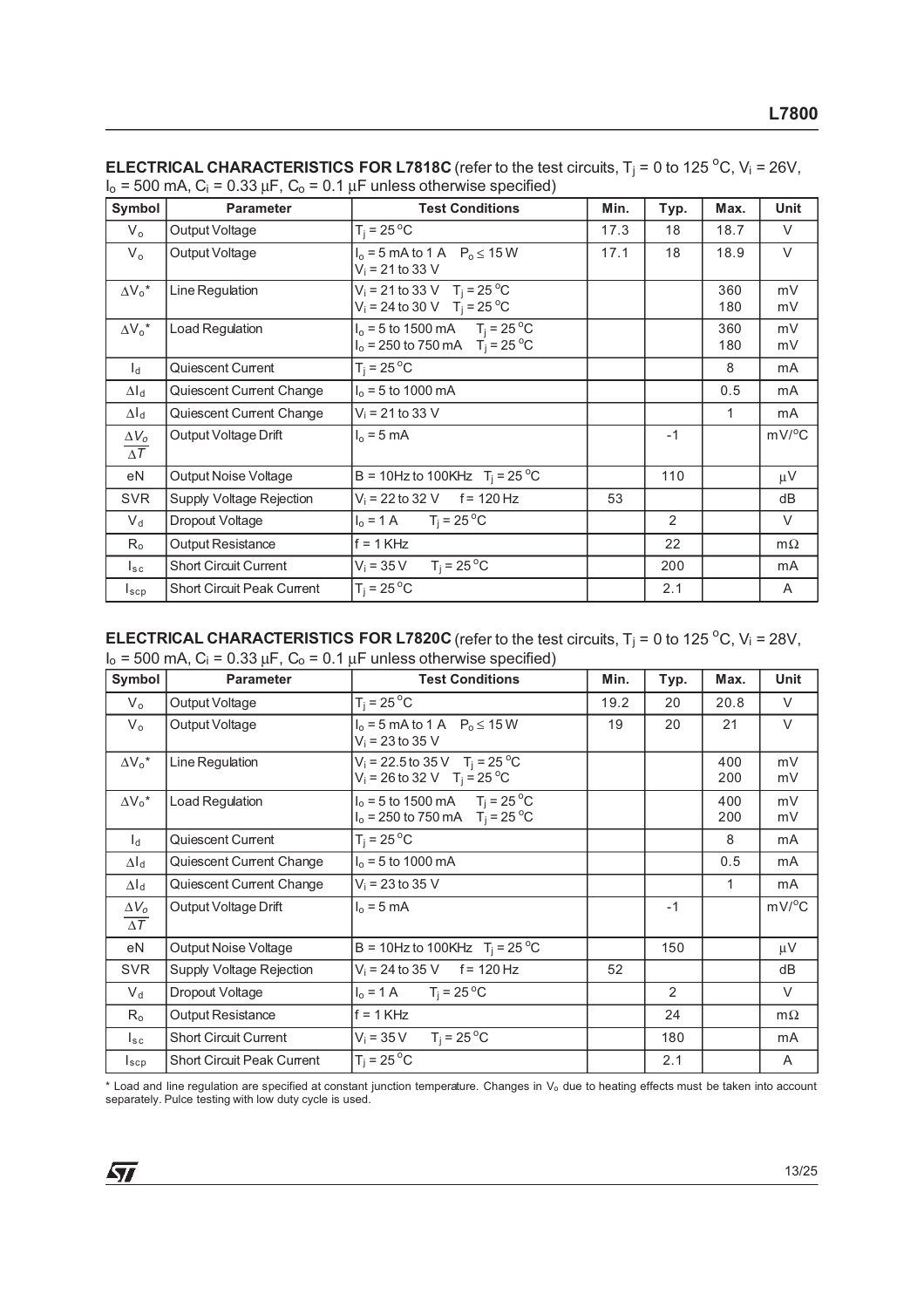| Symbol                     | <b>Parameter</b>                  | <b>Test Conditions</b>                                                                 | Min. | Typ.           | Max.       | <b>Unit</b>         |
|----------------------------|-----------------------------------|----------------------------------------------------------------------------------------|------|----------------|------------|---------------------|
| $V_{o}$                    | Output Voltage                    | $T_i = 25^{\circ}C$                                                                    | 17.3 | 18             | 18.7       | V                   |
| $V_{o}$                    | Output Voltage                    | $I_0 = 5$ mA to 1 A $P_0 \le 15$ W<br>$V_i = 21$ to 33 V                               | 17.1 | 18             | 18.9       | $\vee$              |
| $\Delta V_0^*$             | Line Regulation                   | $V_i = 21$ to 33 V T <sub>j</sub> = 25 °C<br>$V_i = 24$ to 30 V T <sub>i</sub> = 25 °C |      |                | 360<br>180 | mV<br>mV            |
| $\Delta V_0^*$             | Load Regulation                   | $I_0 = 5$ to 1500 mA $T_i = 25$ °C<br>$I_0 = 250$ to 750 mA $T_i = 25$ °C              |      |                | 360<br>180 | mV<br>mV            |
| $l_{\rm d}$                | Quiescent Current                 | $T_i = 25^{\circ}C$                                                                    |      |                | 8          | mA                  |
| $\Delta I_d$               | Quiescent Current Change          | $I_0 = 5$ to 1000 mA                                                                   |      |                | 0.5        | mA                  |
| $\Delta I_d$               | Quiescent Current Change          | $V_i = 21$ to 33 V                                                                     |      |                | 1          | mA                  |
| $\Delta V_o$<br>$\Delta T$ | Output Voltage Drift              | $I_0 = 5$ mA                                                                           |      | $-1$           |            | $mV$ <sup>o</sup> C |
| eN                         | Output Noise Voltage              | B = 10Hz to 100KHz $T_i = 25^{\circ}$ C                                                |      | 110            |            | $\mu$ V             |
| <b>SVR</b>                 | Supply Voltage Rejection          | $V_i = 22$ to 32 V f = 120 Hz                                                          | 53   |                |            | dB                  |
| $V_{\rm d}$                | Dropout Voltage                   | $I_0 = 1 \text{ A}$ $T_i = 25 \text{ }^{\circ}\text{C}$                                |      | $\overline{2}$ |            | $\vee$              |
| $R_{o}$                    | <b>Output Resistance</b>          | $f = 1$ KHz                                                                            |      | 22             |            | $m\Omega$           |
| $I_{\rm sc}$               | <b>Short Circuit Current</b>      | $T_i = 25^{\circ}C$<br>$V_i = 35 V$                                                    |      | 200            |            | mA                  |
| $I_{\texttt{SCP}}$         | <b>Short Circuit Peak Current</b> | $T_i = 25^{\circ}C$                                                                    |      | 2.1            |            | A                   |

**ELECTRICAL CHARACTERISTICS FOR L7818C** (refer to the test circuits,  $T_j = 0$  to 125 °C,  $V_i = 26V$ ,  $I_0 = 500$  mA,  $C_i = 0.33 \mu F$ ,  $C_0 = 0.1 \mu F$  unless otherwise specified)

**ELECTRICAL CHARACTERISTICS FOR L7820C** (refer to the test circuits,  $T_j = 0$  to 125 °C,  $V_i = 28V$ ,  $I_o = 500$  mA,  $C_i = 0.33 \mu F$ ,  $C_o = 0.1 \mu F$  unless otherwise specified)

| Symbol                                | <b>Parameter</b>                  | <b>Test Conditions</b>                                                                         | Min. | Typ. | Max.       | Unit           |
|---------------------------------------|-----------------------------------|------------------------------------------------------------------------------------------------|------|------|------------|----------------|
| $V_{o}$                               | Output Voltage                    | $T_i = 25^{\circ}C$                                                                            | 19.2 | 20   | 20.8       | V              |
| $V_{o}$                               | Output Voltage                    | $I_0 = 5$ mA to 1 A $P_0 \le 15$ W<br>$V_i = 23$ to 35 V                                       | 19   | 20   | 21         | $\vee$         |
| $\Delta V_0^*$                        | Line Regulation                   | $V_i = 22.5$ to 35 V T <sub>i</sub> = 25 °C<br>$V_i = 26$ to 32 V T <sub>i</sub> = 25 °C       |      |      | 400<br>200 | mV<br>mV       |
| $\Delta V_0^*$                        | Load Regulation                   | $I_0 = 5$ to 1500 mA T <sub>i</sub> = 25 <sup>o</sup> C<br>$I_0 = 250$ to 750 mA $T_i = 25$ °C |      |      | 400<br>200 | mV<br>mV       |
| $\mathsf{I}_{\mathsf{d}}$             | Quiescent Current                 | $T_i = 25^{\circ}C$                                                                            |      |      | 8          | mA             |
| $\Delta I_d$                          | Quiescent Current Change          | $I_0 = 5$ to 1000 mA                                                                           |      |      | 0.5        | mA             |
| $\Delta I_d$                          | Quiescent Current Change          | $V_i = 23$ to 35 V                                                                             |      |      | 1          | mA             |
| $\Delta V_o$<br>$\overline{\Delta T}$ | Output Voltage Drift              | $I_0 = 5$ mA                                                                                   |      | $-1$ |            | $mV/^{\circ}C$ |
| eN                                    | Output Noise Voltage              | B = 10Hz to 100KHz $T_i = 25 °C$                                                               |      | 150  |            | $\mu V$        |
| <b>SVR</b>                            | Supply Voltage Rejection          | $V_i = 24$ to 35 V f = 120 Hz                                                                  | 52   |      |            | dB             |
| $V_{d}$                               | Dropout Voltage                   | $I_0 = 1 \text{ A}$ $T_i = 25 \text{ °C}$                                                      |      | 2    |            | V              |
| $R_{o}$                               | <b>Output Resistance</b>          | $f = 1$ KHz                                                                                    |      | 24   |            | $m\Omega$      |
| $I_{\text{sc}}$                       | <b>Short Circuit Current</b>      | $T_i = 25^{\circ}C$<br>$V_i = 35 V$                                                            |      | 180  |            | mA             |
| $I_{\tt sep}$                         | <b>Short Circuit Peak Current</b> | $T_i = 25^{\circ}C$                                                                            |      | 2.1  |            | A              |

<sup>\*</sup> Load and line regulation are specified at constant junction temperature. Changes in V<sup>o</sup> due to heating effects must be taken into account separately. Pulce testing with low duty cycle is used.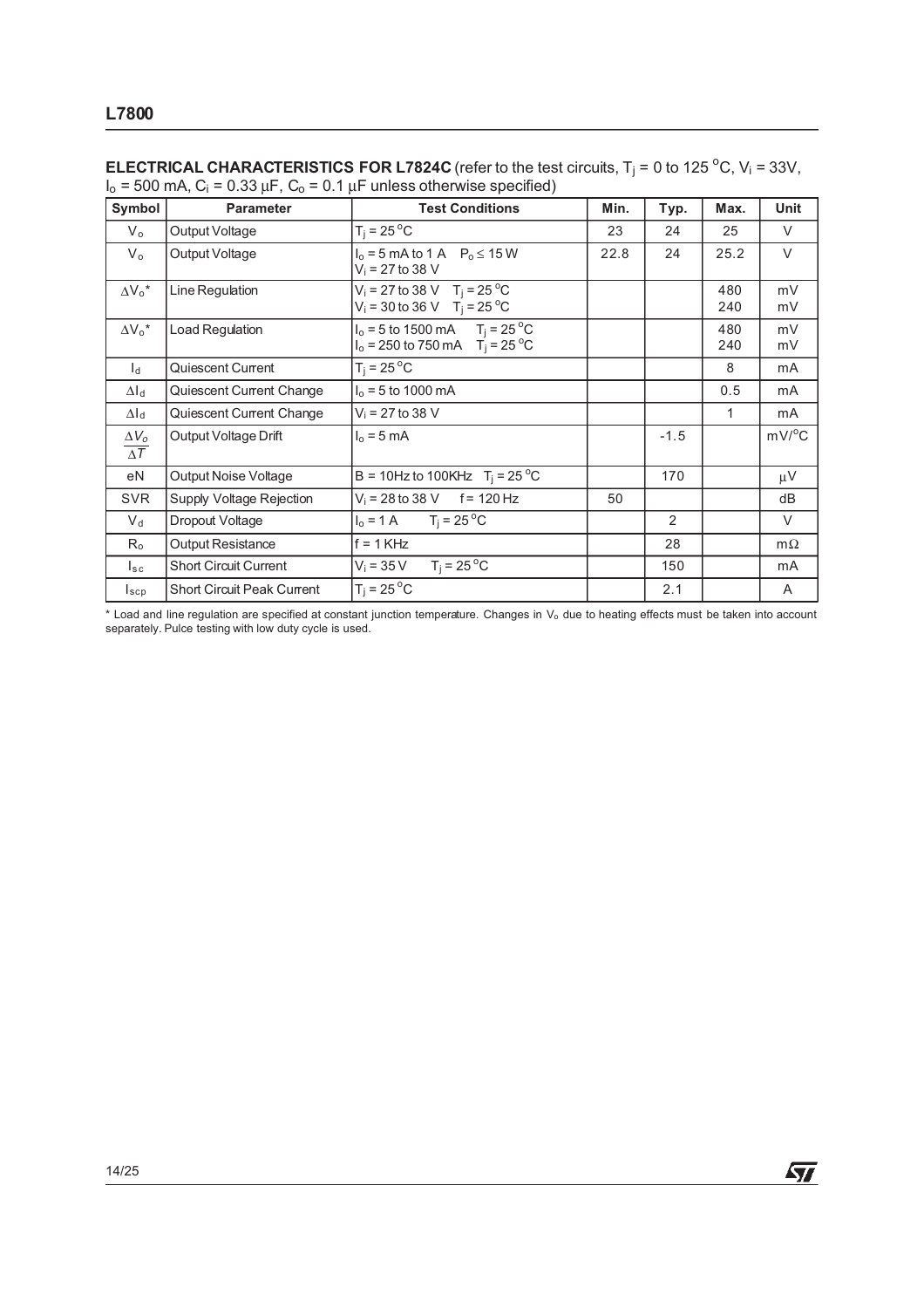| Symbol                                | <b>Parameter</b>                  | <b>Test Conditions</b>                                                                 | Min. | Typ.   | Max.       | Unit         |
|---------------------------------------|-----------------------------------|----------------------------------------------------------------------------------------|------|--------|------------|--------------|
| $V_{o}$                               | Output Voltage                    | $T_i = 25^{\circ}C$                                                                    | 23   | 24     | 25         | V            |
| $V_{o}$                               | Output Voltage                    | $I_0 = 5$ mA to 1 A $P_0 \le 15$ W<br>$V_i = 27$ to 38 V                               | 22.8 | 24     | 25.2       | $\vee$       |
| $\Delta V_0^*$                        | Line Regulation                   | $V_i = 27$ to 38 V T <sub>i</sub> = 25 °C<br>$V_i = 30$ to 36 V T <sub>i</sub> = 25 °C |      |        | 480<br>240 | mV<br>mV     |
| $\Delta V_0^*$                        | Load Regulation                   | $I_0 = 5$ to 1500 mA $T_j = 25$ °C<br>$I_0 = 250$ to 750 mA $T_i = 25$ °C              |      |        | 480<br>240 | mV<br>mV     |
| $\mathsf{I}_{\mathsf{d}}$             | Quiescent Current                 | $T_i = 25^{\circ}C$                                                                    |      |        | 8          | mA           |
| $\Delta I_d$                          | Quiescent Current Change          | $I_0 = 5$ to 1000 mA                                                                   |      |        | 0.5        | mA           |
| $\Delta I_d$                          | Quiescent Current Change          | $V_i = 27$ to 38 V                                                                     |      |        | 1          | mA           |
| $\Delta V_{o}$<br>$\Delta\mathcal{T}$ | Output Voltage Drift              | $I_0 = 5$ mA                                                                           |      | $-1.5$ |            | $mV/{}^{o}C$ |
| eN                                    | Output Noise Voltage              | B = 10Hz to 100KHz $T_i = 25^{\circ}$ C                                                |      | 170    |            | $\mu$ V      |
| <b>SVR</b>                            | Supply Voltage Rejection          | $V_i = 28$ to 38 V f = 120 Hz                                                          | 50   |        |            | dB           |
| $V_d$                                 | Dropout Voltage                   | $I_0 = 1 \text{ A}$ $T_i = 25 \text{ }^{\circ}\text{C}$                                |      | 2      |            | V            |
| $R_{o}$                               | Output Resistance                 | $f = 1$ KHz                                                                            |      | 28     |            | $m\Omega$    |
| $I_{\tt sc}$                          | <b>Short Circuit Current</b>      | $T_i = 25^{\circ}$ C<br>$V_i = 35 V$                                                   |      | 150    |            | mA           |
| $I_{\texttt{scp}}$                    | <b>Short Circuit Peak Current</b> | $T_i = 25^{\circ}C$                                                                    |      | 2.1    |            | A            |

**ELECTRICAL CHARACTERISTICS FOR L7824C** (refer to the test circuits,  $T_j = 0$  to 125 °C,  $V_i = 33V$ ,  $I_0 = 500$  mA,  $C_i = 0.33 \mu F$ ,  $C_0 = 0.1 \mu F$  unless otherwise specified)

\* Load and line regulation are specified at constant junction temperature. Changes in V<sub>o</sub> due to heating effects must be taken into account separately. Pulce testing with low duty cycle is used.

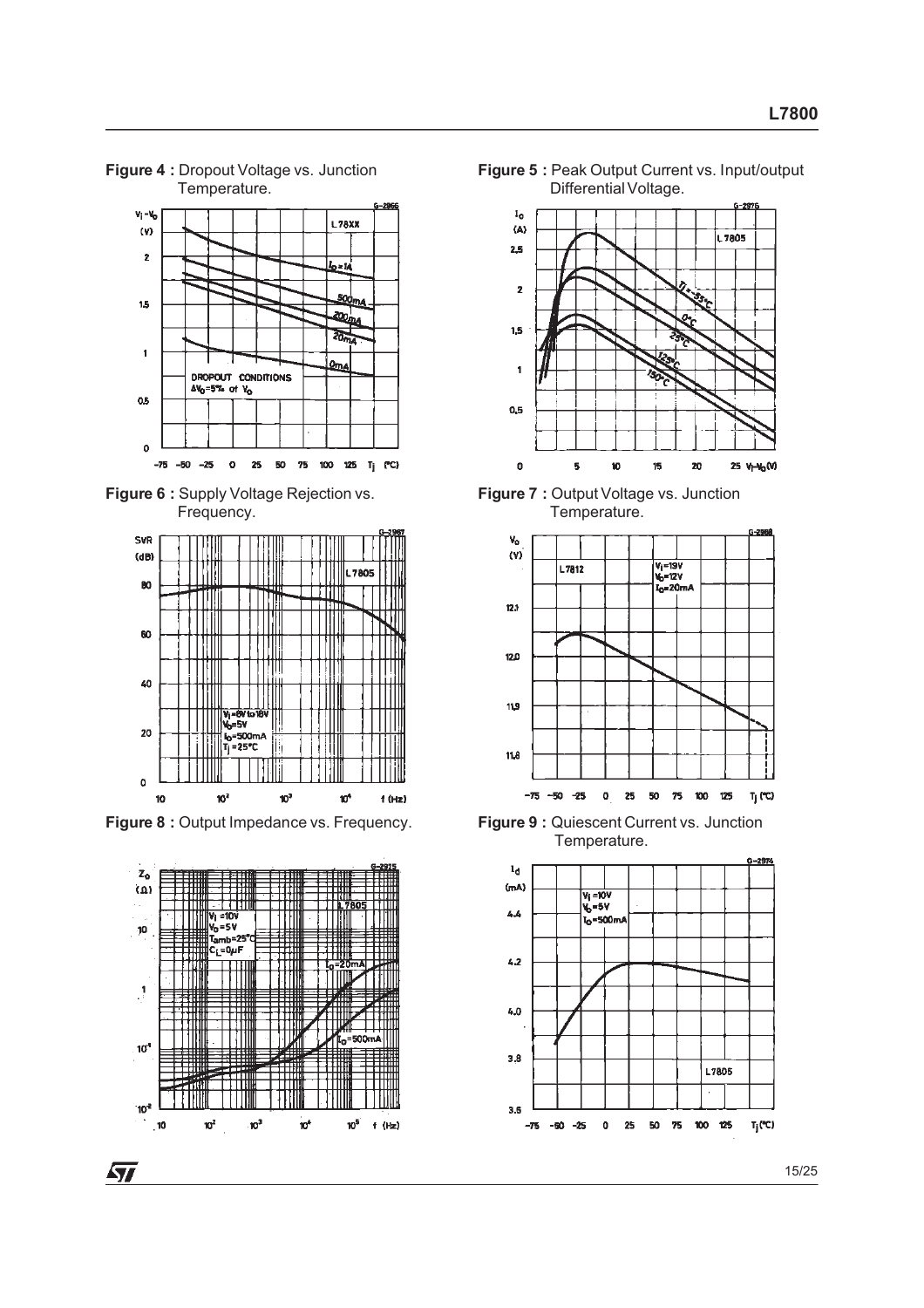#### **Figure 4 :** Dropout Voltage vs. Junction Temperature.



**Figure 6 :** Supply Voltage Rejection vs. Frequency.



**Figure 8 :** Output Impedance vs. Frequency. **Figure 9 :** Quiescent Current vs. Junction







**Figure 7 :** Output Voltage vs. Junction Temperature.



Temperature.

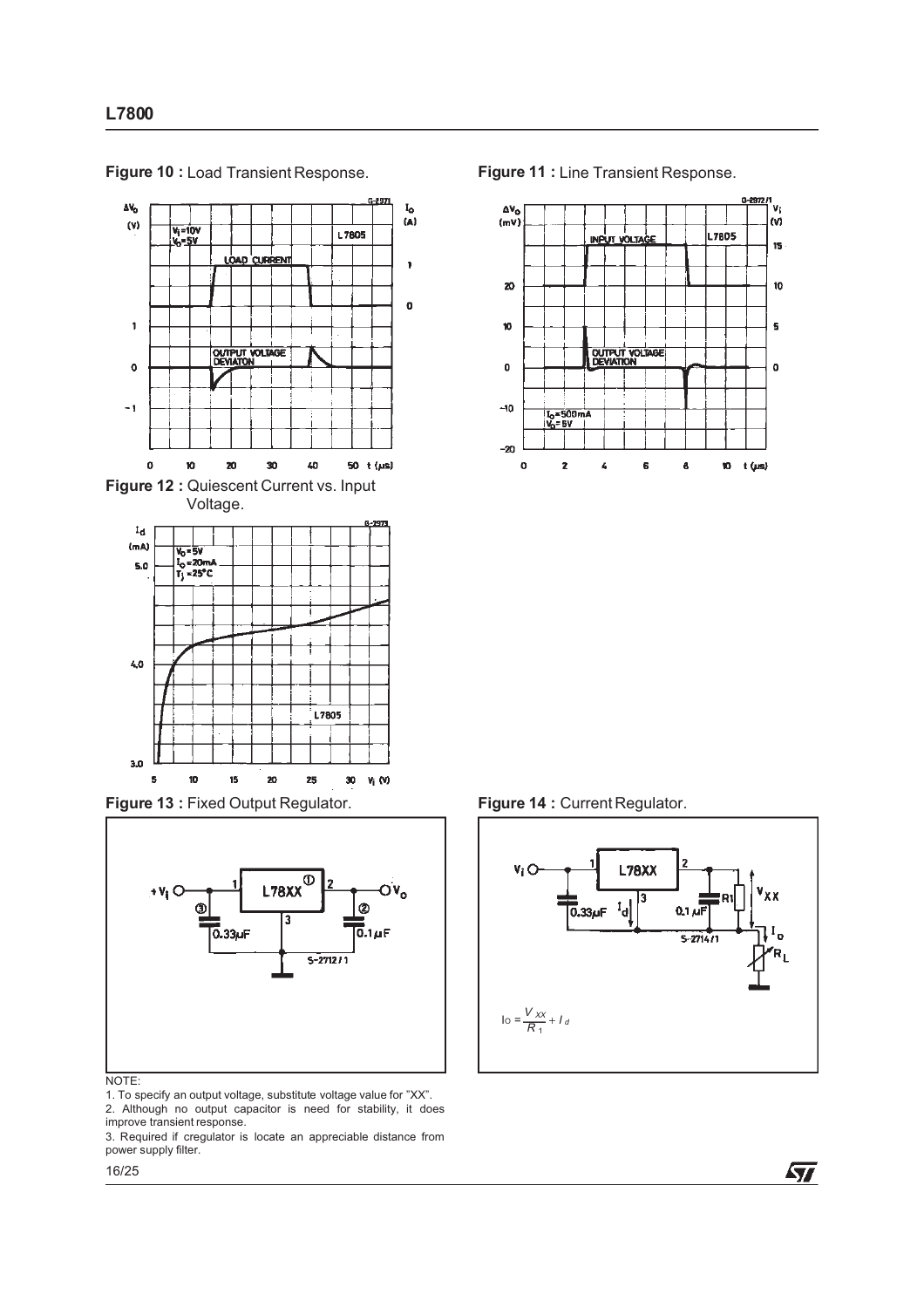

**Figure 10 :** Load Transient Response. **Figure 11 :** Line Transient Response.

**Figure 13 :** Fixed Output Regulator. **Figure 14 :** Current Regulator.



#### NOTE:

1. To specify an output voltage, substitute voltage value for "XX". 2. Although no output capacitor is need for stability, it does improve transient response.

3. Required if cregulator is locate an appreciable distance from power supply filter.







57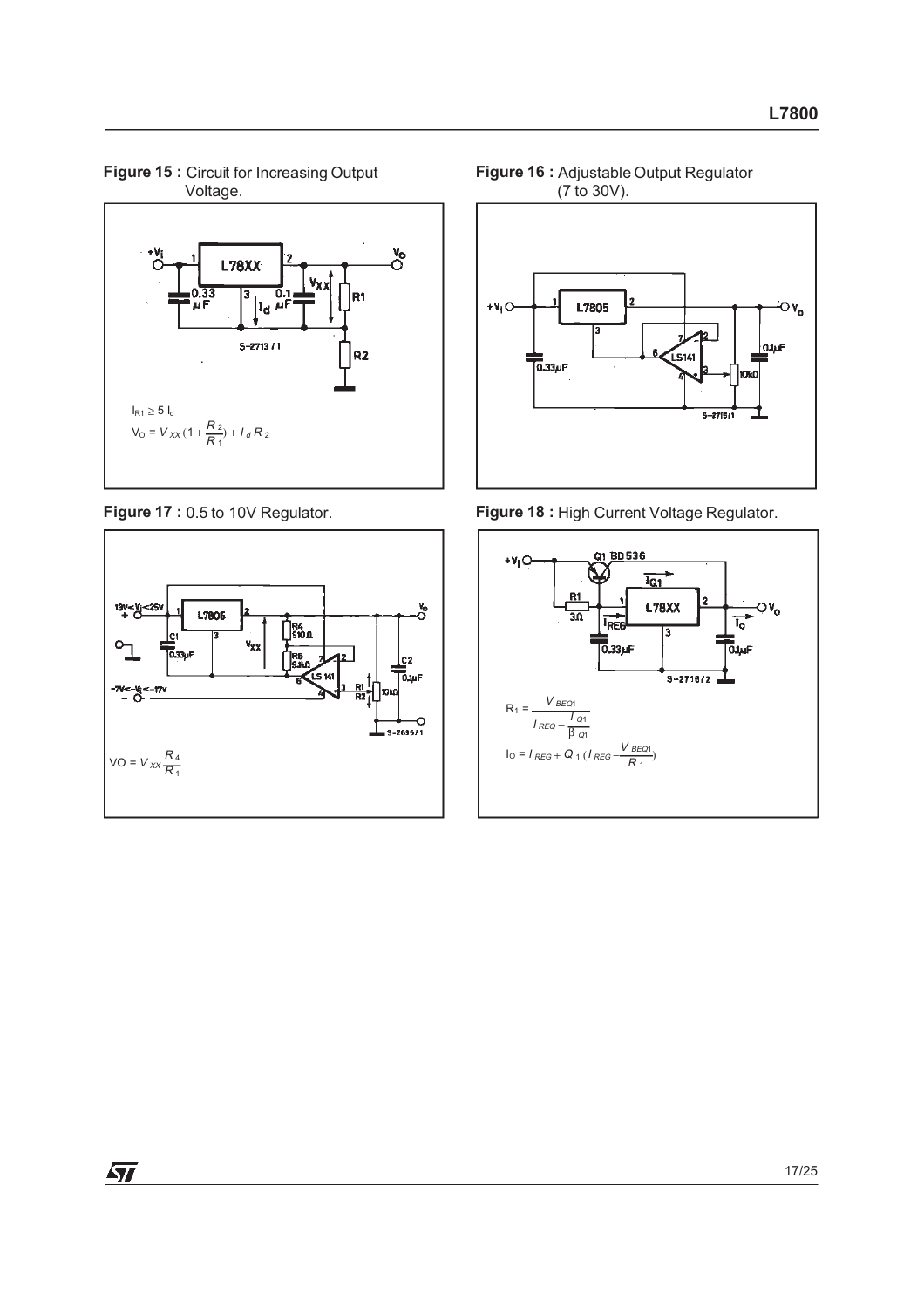







**Figure 17 :** 0.5 to 10V Regulator. **Figure 18 :** High Current Voltage Regulator.

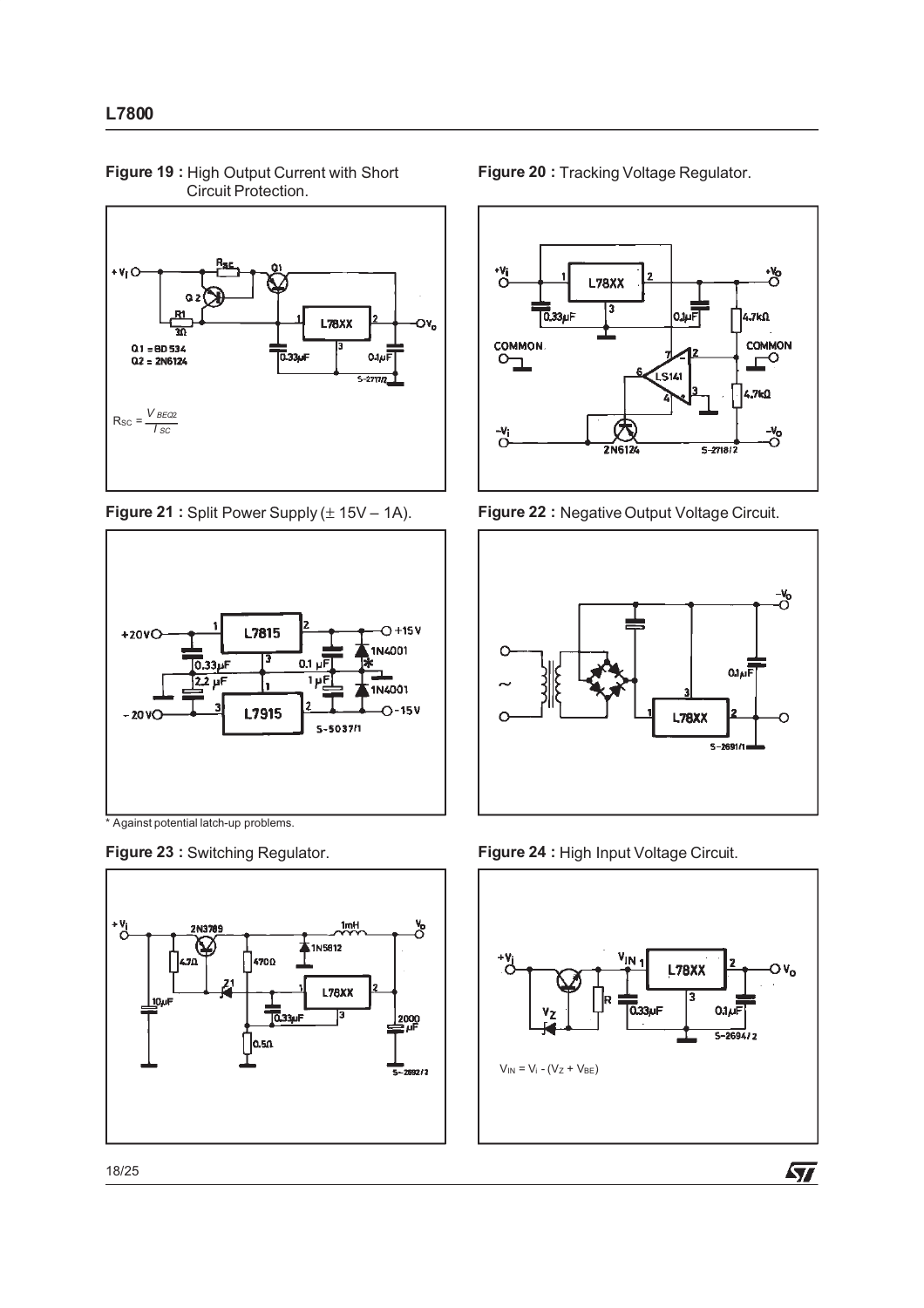

**Figure 19 :** High Output Current with Short Circuit Protection.

**Figure 21 :** Split Power Supply ( $\pm$  15V – 1A). **Figure 22 :** Negative Output Voltage Circuit.



\* Against potential latch-up problems.





**Figure 20 :** Tracking Voltage Regulator.





**Figure 23 :** Switching Regulator. **Figure 24 :** High Input Voltage Circuit.



 $\sqrt{2}$ 

18/25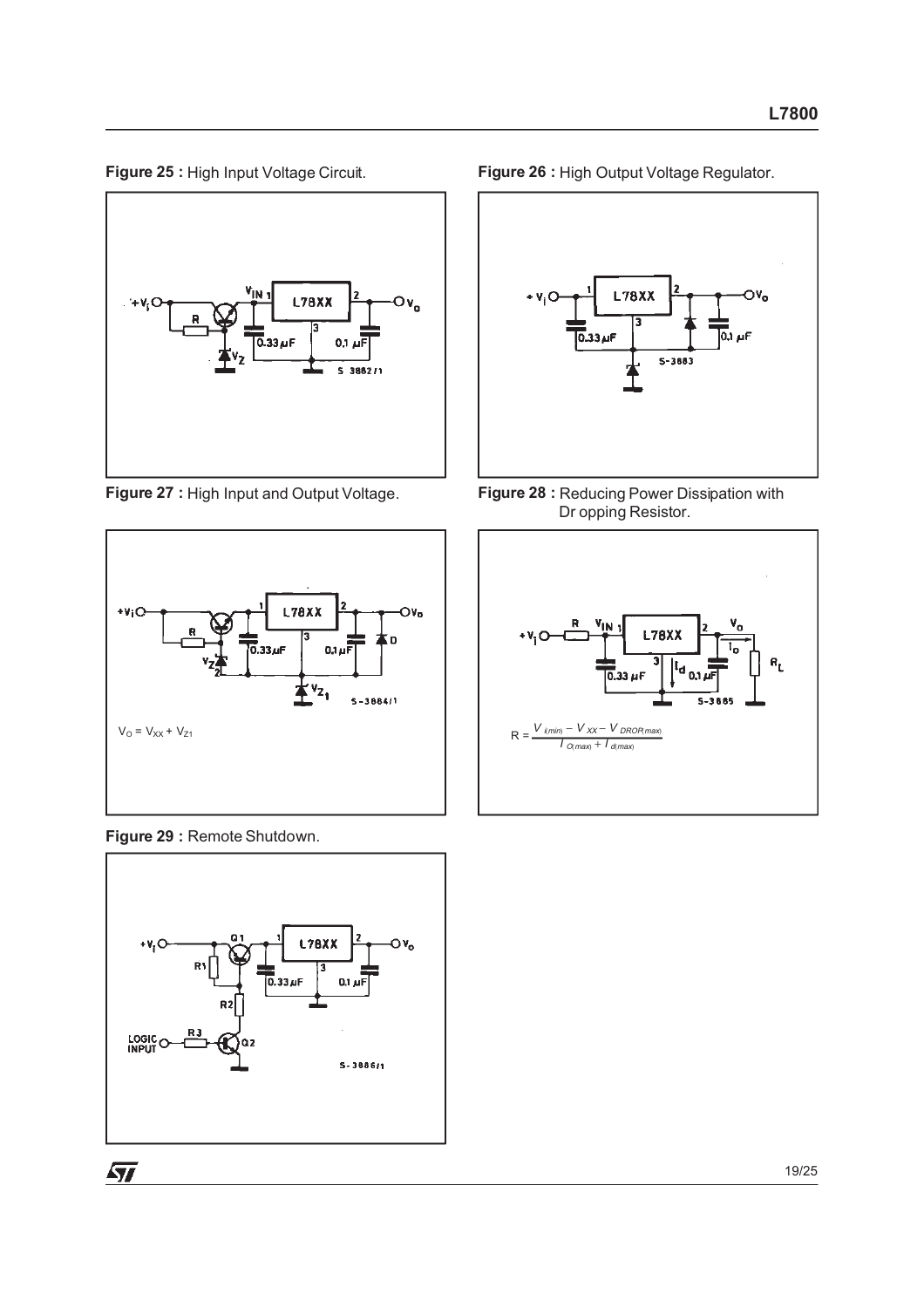



**Figure 29 :** Remote Shutdown.







**Figure 27 :** High Input and Output Voltage. **Figure 28 :** Reducing Power Dissipation with Dr opping Resistor.

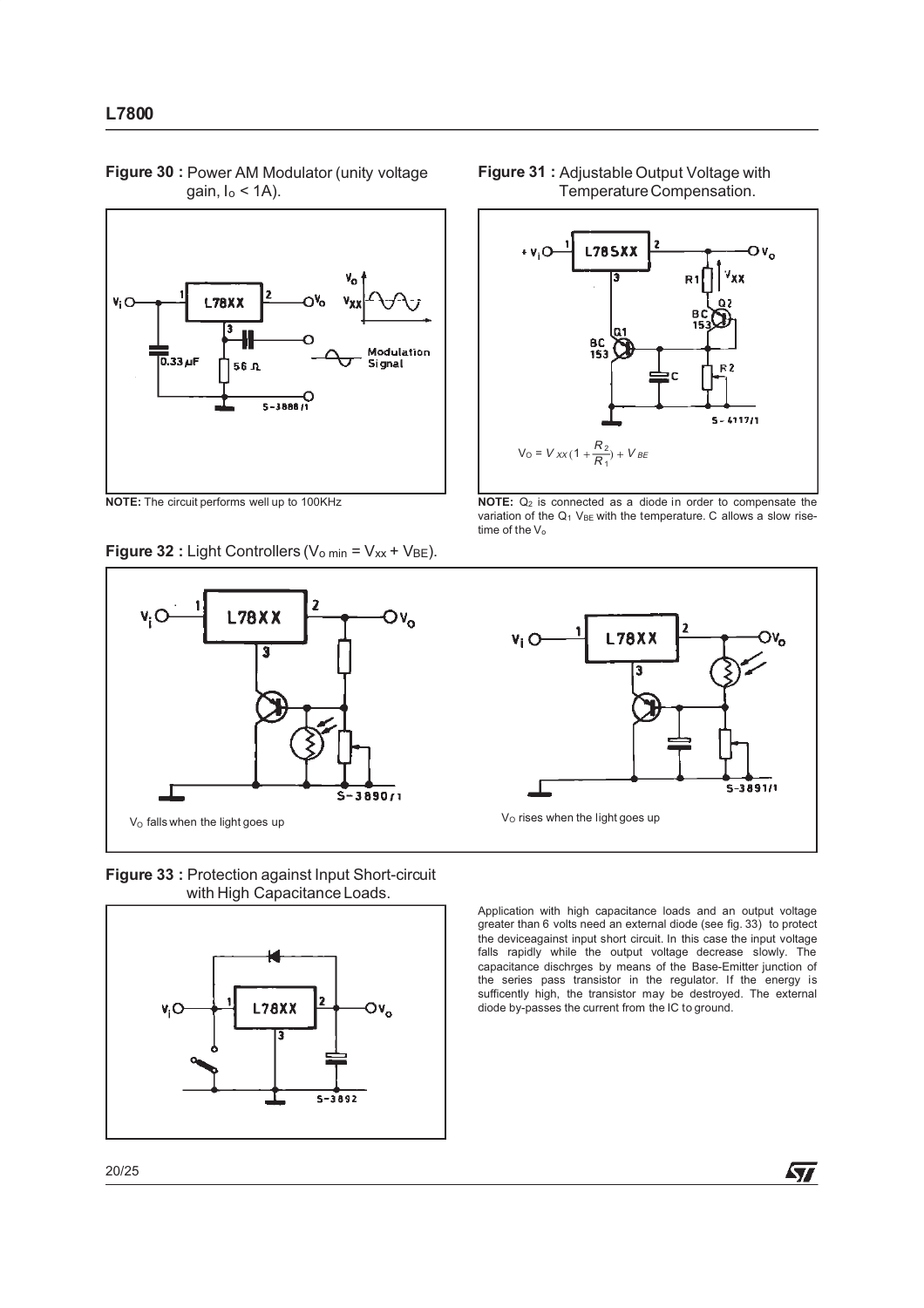

**Figure 30 :** Power AM Modulator (unity voltage gain,  $I_0$  < 1A).

**Figure 32 :** Light Controllers ( $V_{\text{o min}} = V_{xx} + V_{BE}$ ).



**Figure 33 :** Protection against Input Short-circuit with High Capacitance Loads.







**NOTE:** The circuit performs well up to 100KHz **NOTE:** Q<sub>2</sub> is connected as a diode in order to compensate the variation of the  $Q_1$  V<sub>BE</sub> with the temperature. C allows a slow risetime of the  $V_0$ 



Application with high capacitance loads and an output voltage greater than 6 volts need an external diode (see fig. 33) to protect the deviceagainst input short circuit. In this case the input voltage falls rapidly while the output voltage decrease slowly. The capacitance dischrges by means of the Base-Emitter junction of the series pass transistor in the regulator. If the energy is sufficently high, the transistor may be destroyed. The external diode by-passes the current from the IC to ground.

20/25

ィ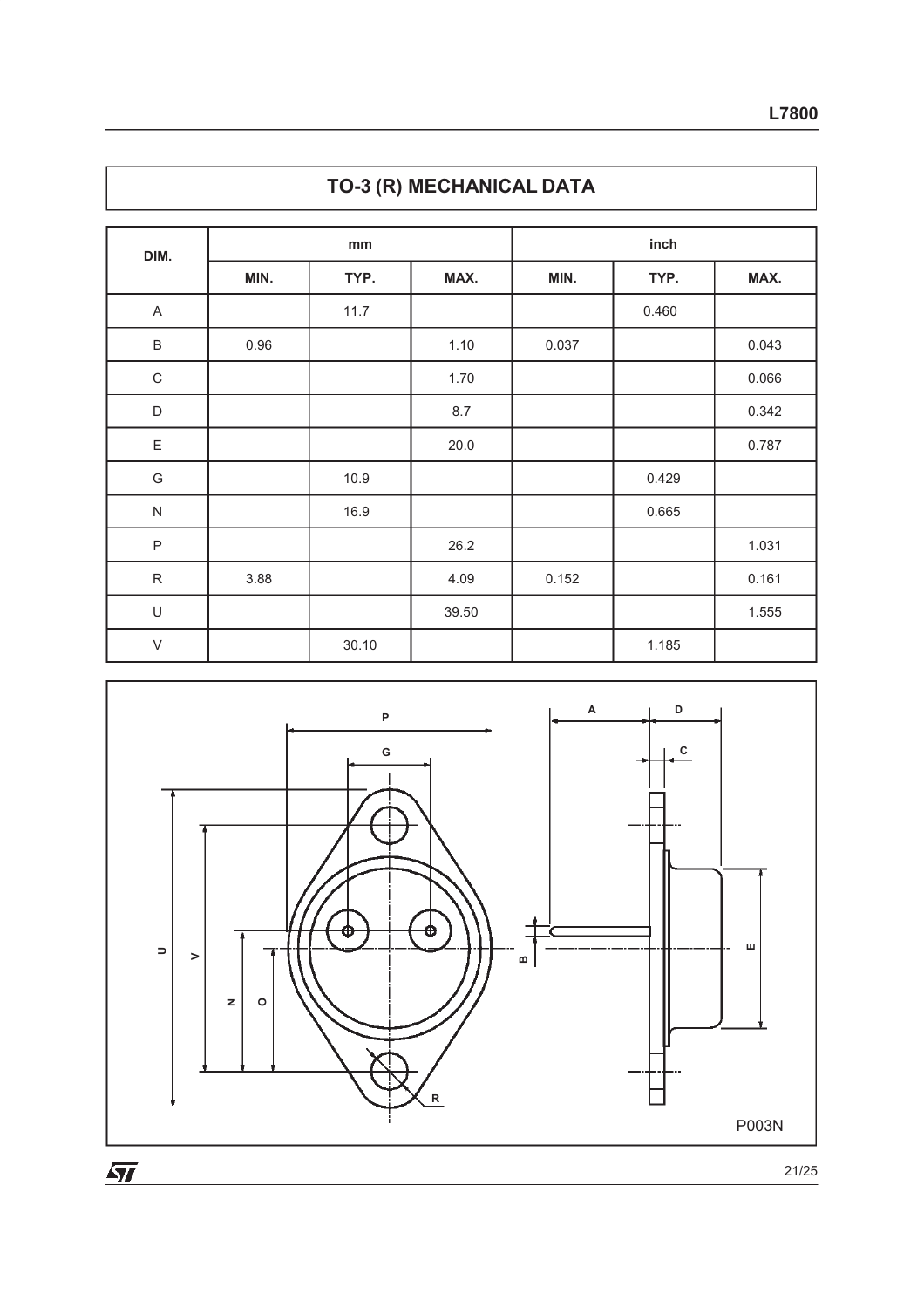| DIM.          |      | mm    |       |       | inch  |       |  |
|---------------|------|-------|-------|-------|-------|-------|--|
|               | MIN. | TYP.  | MAX.  | MIN.  | TYP.  | MAX.  |  |
| A             |      | 11.7  |       |       | 0.460 |       |  |
| $\sf B$       | 0.96 |       | 1.10  | 0.037 |       | 0.043 |  |
| $\mathsf C$   |      |       | 1.70  |       |       | 0.066 |  |
| $\mathsf D$   |      |       | 8.7   |       |       | 0.342 |  |
| $\mathsf E$   |      |       | 20.0  |       |       | 0.787 |  |
| ${\mathsf G}$ |      | 10.9  |       |       | 0.429 |       |  |
| ${\sf N}$     |      | 16.9  |       |       | 0.665 |       |  |
| $\sf P$       |      |       | 26.2  |       |       | 1.031 |  |
| ${\sf R}$     | 3.88 |       | 4.09  | 0.152 |       | 0.161 |  |
| $\cup$        |      |       | 39.50 |       |       | 1.555 |  |
| $\vee$        |      | 30.10 |       |       | 1.185 |       |  |



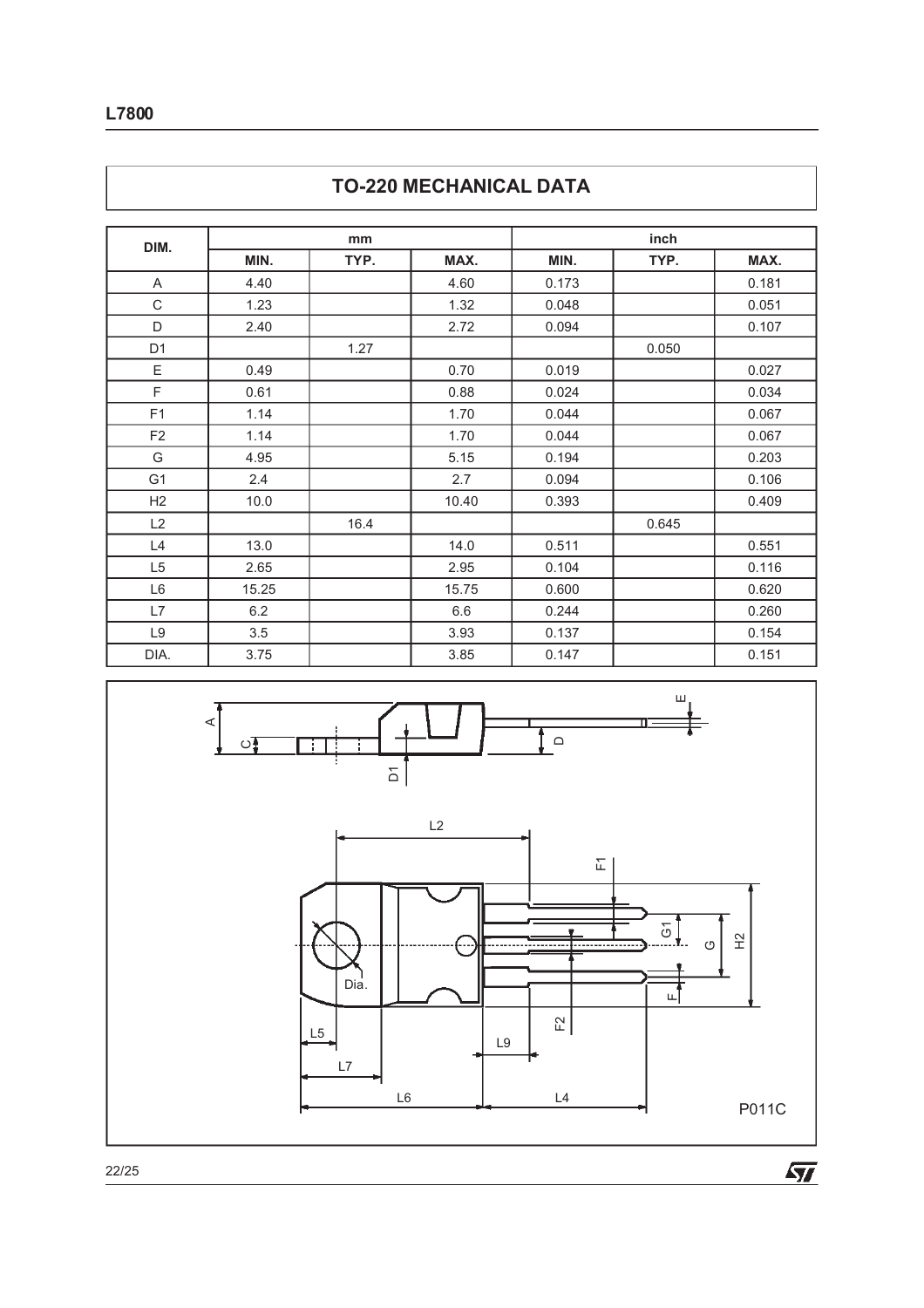| DIM.           |       | mm   |       |       | inch  |       |  |
|----------------|-------|------|-------|-------|-------|-------|--|
|                | MIN.  | TYP. | MAX.  | MIN.  | TYP.  | MAX.  |  |
| A              | 4.40  |      | 4.60  | 0.173 |       | 0.181 |  |
| C              | 1.23  |      | 1.32  | 0.048 |       | 0.051 |  |
| D              | 2.40  |      | 2.72  | 0.094 |       | 0.107 |  |
| D <sub>1</sub> |       | 1.27 |       |       | 0.050 |       |  |
| Ε              | 0.49  |      | 0.70  | 0.019 |       | 0.027 |  |
| F              | 0.61  |      | 0.88  | 0.024 |       | 0.034 |  |
| F <sub>1</sub> | 1.14  |      | 1.70  | 0.044 |       | 0.067 |  |
| F <sub>2</sub> | 1.14  |      | 1.70  | 0.044 |       | 0.067 |  |
| G              | 4.95  |      | 5.15  | 0.194 |       | 0.203 |  |
| G <sub>1</sub> | 2.4   |      | 2.7   | 0.094 |       | 0.106 |  |
| H <sub>2</sub> | 10.0  |      | 10.40 | 0.393 |       | 0.409 |  |
| L2             |       | 16.4 |       |       | 0.645 |       |  |
| L4             | 13.0  |      | 14.0  | 0.511 |       | 0.551 |  |
| L5             | 2.65  |      | 2.95  | 0.104 |       | 0.116 |  |
| L6             | 15.25 |      | 15.75 | 0.600 |       | 0.620 |  |
| L7             | 6.2   |      | 6.6   | 0.244 |       | 0.260 |  |

L9 3.5 3.93 0.137 0.154 DIA. | 3.75 | | 3.85 | 0.147 | | 0.151





22/25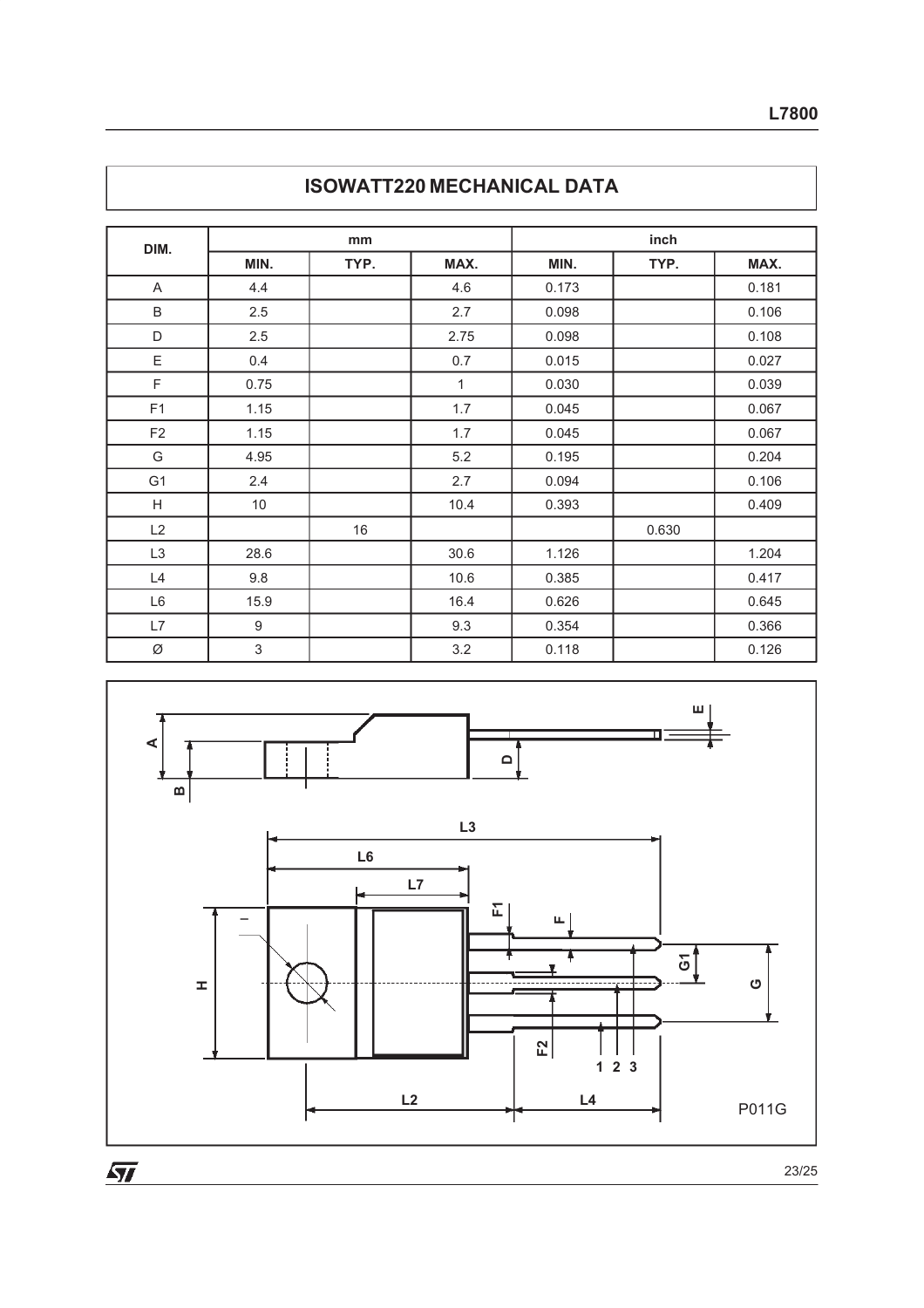| DIM.                      | mm               |      |      | inch  |       |       |  |  |
|---------------------------|------------------|------|------|-------|-------|-------|--|--|
|                           | MIN.             | TYP. | MAX. | MIN.  | TYP.  | MAX.  |  |  |
| A                         | 4.4              |      | 4.6  | 0.173 |       | 0.181 |  |  |
| B                         | 2.5              |      | 2.7  | 0.098 |       | 0.106 |  |  |
| D                         | 2.5              |      | 2.75 | 0.098 |       | 0.108 |  |  |
| Ε                         | 0.4              |      | 0.7  | 0.015 |       | 0.027 |  |  |
| F                         | 0.75             |      | 1    | 0.030 |       | 0.039 |  |  |
| F1                        | 1.15             |      | 1.7  | 0.045 |       | 0.067 |  |  |
| F <sub>2</sub>            | 1.15             |      | 1.7  | 0.045 |       | 0.067 |  |  |
| G                         | 4.95             |      | 5.2  | 0.195 |       | 0.204 |  |  |
| G <sub>1</sub>            | 2.4              |      | 2.7  | 0.094 |       | 0.106 |  |  |
| $\boldsymbol{\mathsf{H}}$ | 10               |      | 10.4 | 0.393 |       | 0.409 |  |  |
| L2                        |                  | 16   |      |       | 0.630 |       |  |  |
| L <sub>3</sub>            | 28.6             |      | 30.6 | 1.126 |       | 1.204 |  |  |
| L4                        | 9.8              |      | 10.6 | 0.385 |       | 0.417 |  |  |
| L6                        | 15.9             |      | 16.4 | 0.626 |       | 0.645 |  |  |
| L7                        | $\boldsymbol{9}$ |      | 9.3  | 0.354 |       | 0.366 |  |  |
| Ø                         | $\mathfrak{S}$   |      | 3.2  | 0.118 |       | 0.126 |  |  |



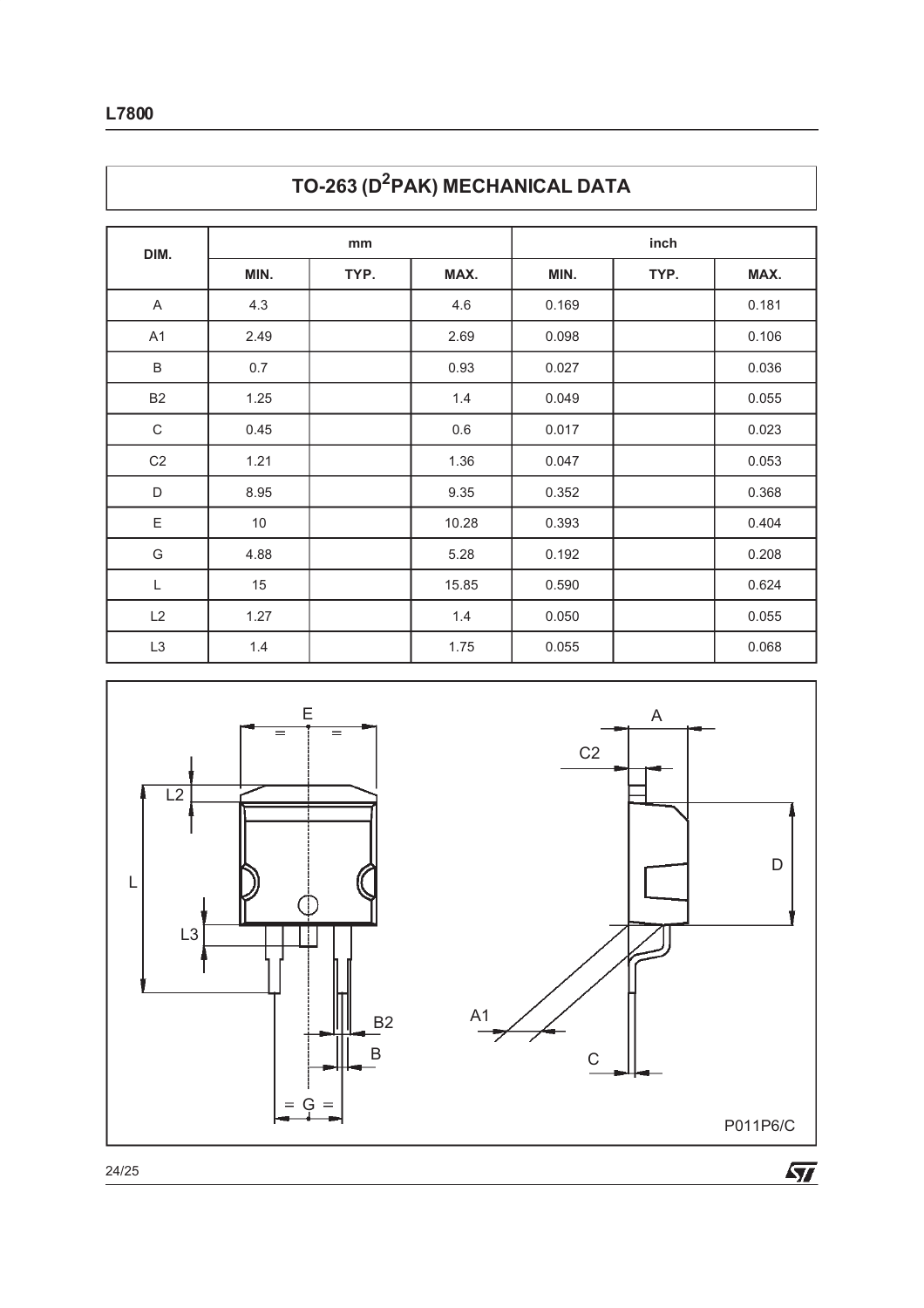| DIM.           |      | mm   |       | inch  |      |       |  |
|----------------|------|------|-------|-------|------|-------|--|
|                | MIN. | TYP. | MAX.  | MIN.  | TYP. | MAX.  |  |
| $\mathsf{A}$   | 4.3  |      | 4.6   | 0.169 |      | 0.181 |  |
| A <sub>1</sub> | 2.49 |      | 2.69  | 0.098 |      | 0.106 |  |
| $\sf B$        | 0.7  |      | 0.93  | 0.027 |      | 0.036 |  |
| B <sub>2</sub> | 1.25 |      | 1.4   | 0.049 |      | 0.055 |  |
| $\mathsf C$    | 0.45 |      | 0.6   | 0.017 |      | 0.023 |  |
| C2             | 1.21 |      | 1.36  | 0.047 |      | 0.053 |  |
| $\mathsf D$    | 8.95 |      | 9.35  | 0.352 |      | 0.368 |  |
| $\mathsf E$    | 10   |      | 10.28 | 0.393 |      | 0.404 |  |
| G              | 4.88 |      | 5.28  | 0.192 |      | 0.208 |  |
| L              | 15   |      | 15.85 | 0.590 |      | 0.624 |  |
| L2             | 1.27 |      | 1.4   | 0.050 |      | 0.055 |  |
| L <sub>3</sub> | 1.4  |      | 1.75  | 0.055 |      | 0.068 |  |





24/25